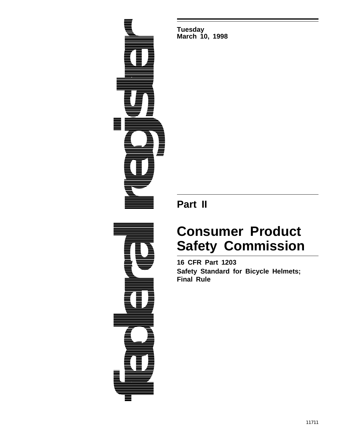

**Tuesday March 10, 1998**

**Part II**

# **Consumer Product Safety Commission**

**16 CFR Part 1203 Safety Standard for Bicycle Helmets; Final Rule**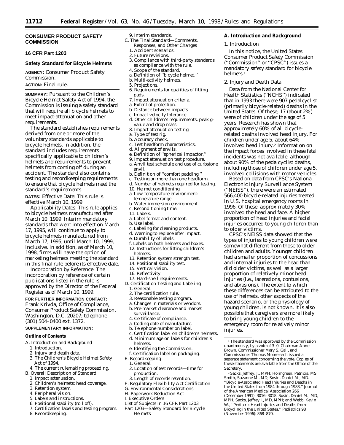# **CONSUMER PRODUCT SAFETY COMMISSION**

# **16 CFR Part 1203**

# **Safety Standard for Bicycle Helmets**

**AGENCY:** Consumer Product Safety Commission.

#### **ACTION:** Final rule.

**SUMMARY:** Pursuant to the Children's Bicycle Helmet Safety Act of 1994, the Commission is issuing a safety standard that will require all bicycle helmets to meet impact-attenuation and other requirements.

The standard establishes requirements derived from one or more of the voluntary standards applicable to bicycle helmets. In addition, the standard includes requirements specifically applicable to children's helmets and requirements to prevent helmets from coming off during an accident. The standard also contains testing and recordkeeping requirements to ensure that bicycle helmets meet the standard's requirements.

**DATES:** *Effective Date:* This rule is effective March 10, 1999.

*Applicability Dates:* This rule applies to bicycle helmets manufactured after March 10, 1999. Interim mandatory standards that went into effect on March 17, 1995, will continue to apply to bicycle helmets manufactured from March 17, 1995, until March 10, 1999, inclusive. In addition, as of March 10, 1998, firms will have the option of marketing helmets meeting the standard in this final rule before its effective date.

*Incorporation by Reference:* The incorporation by reference of certain publications listed in the rule is approved by the Director of the Federal Register as of March 10, 1999.

#### **FOR FURTHER INFORMATION CONTACT:**

Frank Krivda, Office of Compliance, Consumer Product Safety Commission, Washington, D.C. 20207; *telephone* (301) 504–0400 ext. 1372.

# **SUPPLEMENTARY INFORMATION:**

#### **Outline of Contents**

- A. Introduction and Background
	- 1. Introduction.
	- 2. Injury and death data.
	- 3. The Children's Bicycle Helmet Safety Act of 1994.
	- 4. The current rulemaking proceeding.
- B. Overall Description of Standard
	- 1. Impact attenuation.
	- 2. Children's helmets: head coverage.
	- 3. Retention system.
	- 4. Peripheral vision.
	- 5. Labels and instructions.
	- 6. Positional stability (roll off).
	- 7. Certification labels and testing program.
	- 8. Recordkeeping.

#### 9. Interim standards.

- C. The Final Standard—Comments,
	- Responses, and Other Changes
	- 1. Accident scenarios. 2. Future revisions.
	-
	- 3. Compliance with third-party standards as compliance with the rule.
	- 4. Scope of the standard.
	- a. Definition of ''bicycle helmet.''
	- b. Multi-activity helmets. 5. Projections.
	- 6. Requirements for qualities of fitting
	- pads.
	- 7. Impact attenuation criteria. a. Extent of protection.
	- b. Distance between impacts.
	- c. Impact velocity tolerance.
	- d. Other children's requirements: peak g-
	- value and drop mass. 8. Impact attenuation test rig.
	-
	- a. Type of test rig. b. Accuracy check.
	-
	- c. Test headform characteristics.
	- d. Alignment of anvils.
	- e. Definition of ''spherical impactor.''
	- 9. Impact attenuation test procedure.
	- a. Anvil test schedule and use of curbstone
	- anvil.
	- b. Definition of ''comfort padding.''
	- c. Testing on more than one headform. d. Number of helmets required for testing.
	-
	- 10. Helmet conditioning.
	- a. Low-temperature environment: temperature range.
	- b. Water immersion environment.
	- c. Reconditioning time.
	- 11. Labels.
	- a. Label format and content.
	- b. Use label.
	- c. Labeling for cleaning products.
	- d. Warning to replace after impact.
	- e. Durability of labels.
	- f. Labels on both helmets and boxes. 12. Instructions for fitting children's helmets.
	- 13. Retention system strength test.
	- 14. Positional stability test.
	- 15. Vertical vision.
	- 16. Reflectivity.
	- 17. Hard-shell requirements.
- D. Certification Testing and Labeling 1. General.
	- 2. The certification rule.
	- 3. Reasonable testing program.
	- a. Changes in materials or vendors.
	- b. Pre-market clearance and market surveillance.
	- 4. Certificate of compliance.
	- a. Coding date of manufacture.
	- b. Telephone number on label.
	- c. Certification label on children's helmets.
	- d. Minimum age on labels for children's helmets.
	- e. Identifying the Commission.
- f. Certification label on packaging.
- E. Recordkeeping
- 1. General. 2. Location of test records—time for
- production.
- 3. Length of records retention.
- F. Regulatory Flexibility Act Certification
- G. Environmental Considerations
- H. Paperwork Reduction Act
- I. Executive Orders
- List of Subjects in 16 CFR Part 1203
- Part 1203—Safety Standard for Bicycle Helmets

#### **A. Introduction and Background**

#### *1. Introduction*

In this notice, the United States Consumer Product Safety Commission (''Commission'' or ''CPSC'') issues a mandatory safety standard for bicycle helmets.1

# *2. Injury and Death Data*

Data from the National Center for Health Statistics (''NCHS'') indicated that in 1993 there were 907 pedalcyclist (primarily bicycle-related) deaths in the United States. Of these, 17 (about 2%) were of children under the age of 5 years. Research has shown that approximately 60% of all bicyclerelated deaths involved head injury. For children under age 5, about 64% involved head injury.2 Information on the impact forces involved in these fatal incidents was not available, although about 90% of the pedalcyclist deaths, including those of children under age 5, involved collisions with motor vehicles.

Based on data from CPSC's National Electronic Injury Surveillance System (''NEISS''), there were an estimated 566,400 bicycle-related injuries treated in U.S. hospital emergency rooms in 1996. Of these, approximately 30% involved the head and face. A higher proportion of head injuries and facial injuries occurred to young children than

CPSC's NEISS data showed that the types of injuries to young children were somewhat different from those to older children and adults. Younger children had a smaller proportion of concussions and internal injuries to the head than did older victims, as well as a larger proportion of relatively minor head injuries (i.e., lacerations, contusions, and abrasions). The extent to which these differences can be attributed to the use of helmets, other aspects of the hazard scenario, or the physiology of young children, is not known. It is also possible that caregivers are more likely

<sup>1</sup>The standard was approved by the Commission unanimously, by a vote of 3–0. Chairman Anne Brown, Commissioner Mary S. Gall, and Commissioner Thomas Moore each issued a separate statement concerning the vote. Copies of these statements are available from the Office of the

to bring young children to the emergency room for relatively minor

2Sacks, Jeffrey, J., MPH; Holmgreen, Patricia, MS; Smith, Suzanne M., MD; Sosin, Daniel M., MD. ''Bicycle-Associated Head Injuries and Deaths in the United States from 1984 through 1988,'' Journal of the American Medical Association 266 (December 1991): 3016–3018. Sosin, Daniel M., MD, MPH; Sacks, Jeffrey J., MD, MPH; and Webb, Kevin W., ''Pediatric Head Injuries and Deaths from Bicycling in the United States,'' Pediatrics 98

Secretary.

injuries.

to older victims.

(November 1996): 868–870.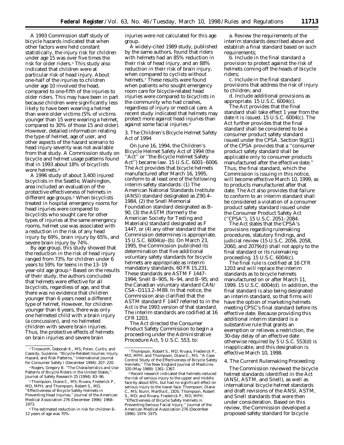A 1993 Commission staff study of bicycle hazards indicated that when other factors were held constant statistically, the injury risk for children under age 15 was over five times the risk for older riders.3 This study also indicated that children were at particular risk of head injury. About one-half of the injuries to children under age 10 involved the head, compared to one-fifth of the injuries to older riders. This may have been in part because children were significantly less likely to have been wearing a helmet than were older victims (5% of victims younger than 15 were wearing a helmet, compared to 30% of those 15 and older). However, detailed information relating the type of helmet, age of user, and other aspects of the hazard scenario to head injury severity was not available from that study. A Commission study on bicycle and helmet usage patterns found that in 1993 about 18% of bicyclists wore helmets.4

A 1996 study of about 3,400 injured bicyclists in the Seattle, Washington, area included an evaluation of the protective effectiveness of helmets in different age groups.<sup>5</sup> When bicyclists treated in hospital emergency rooms for head injuries were compared to bicyclists who sought care for other types of injuries at the same emergency rooms, helmet use was associated with a reduction in the risk of any head injury by 69%, brain injury by 65%, and severe brain injury by 74%.

By age group, this study showed that the reduction in the risk of head injury ranged from 73% for children under 6 years to 59% for teens in the 13–19 year-old age group.6 Based on the results of their study, the authors concluded that helmets were effective for all bicyclists, regardless of age, and that there was no evidence that children younger than 6 years need a different type of helmet. However, for children younger than 6 years, there was only one helmeted child with a brain injury (a concussion), and no helmeted children with severe brain injuries. Thus, the protective effects of helmets on brain injuries and severe brain

injuries were not calculated for this age group.

A widely-cited 1989 study, published by the same authors, found that riders with helmets had an 85% reduction in their risk of head injury, and an 88% reduction in their risk of brain injury, when compared to cyclists without helmets.7 These results were found when patients who sought emergency room care for bicycle-related head injuries were compared to bicyclists in the community who had crashes, regardless of injury or medical care. A recent study indicated that helmets may protect more against head injuries than against some facial injuries.8

# *3. The Children's Bicycle Helmet Safety Act of 1994*

On June 16, 1994, the Children's Bicycle Helmet Safety Act of 1994 (the "Act" or "the Bicycle Helmet Safety Act'') became law. 15 U.S.C. 6001–6006. The Act provides that bicycle helmets manufactured after March 16, 1995, conform to at least one of the following interim safety standards: (1) The American National Standards Institute (ANSI) standard designated as Z90.4– 1984, (2) the Snell Memorial Foundation standard designated as B– 90, (3) the ASTM (formerly the American Society for Testing and Materials) standard designated as F 1447, or (4) any other standard that the Commission determines is appropriate. 15 U.S.C. 6004(a)–(b). On March 23, 1995, the Commission published its determination that five additional voluntary safety standards for bicycle helmets are appropriate as interim mandatory standards. 60 FR 15,231. These standards are ASTM F 1447– 1994; Snell B–90S, N–94, and B–95; and the Canadian voluntary standard CAN/ CSA–D113.2–M89. In that notice, the Commission also clarified that the ASTM standard F 1447 referred to in the Act is the 1993 version of that standard. The interim standards are codified at 16 CFR 1203.

The Act directed the Consumer Product Safety Commission to begin a proceeding under the Administrative Procedure Act, 5 U.S.C. 553, to:

a. Review the requirements of the interim standards described above and establish a final standard based on such requirements;

b. Include in the final standard a provision to protect against the risk of helmets coming off the heads of bicycle riders;

c. Include in the final standard provisions that address the risk of injury to children; and

d. Include additional provisions as appropriate. 15 U.S.C. 6004(c).

The Act provides that the final standard shall take effect 1 year from the date it is issued. 15 U.S.C. 6004(c). The Act further provides that the final standard shall be considered to be a consumer product safety standard issued under the CPSA. Section 9(g)(1) of the CPSA provides that a ''consumer product safety standard shall be applicable only to consumer products manufactured after the effective date.'' Thus, the final standard, which the Commission is issuing in this notice, will become effective March 10, 1999, as to products manufactured after that date. The Act also provides that failure to conform to an interim standard shall be considered a violation of a consumer product safety standard issued under the Consumer Product Safety Act (''CPSA''), 15 U.S.C. 2051–2084.

The Act states that the CPSA's provisions regarding rulemaking procedures, statutory findings, and judicial review (15 U.S.C. 2056, 2058, 2060, and 2079(d)) shall not apply to the final standard or its rulemaking proceeding. 15 U.S.C. 6004(c).

The final rule is codified at 16 CFR 1203 and will replace the interim standards as to bicycle helmets manufactured on or after March 11, 1999. 15 U.S.C. 6004(d). In addition, the final standard is also being designated an interim standard, so that firms will have the option of marketing helmets meeting CPSC's final standard before its effective date. Because providing this additional interim standard is a substantive rule that grants an exemption or relieves a restriction, the 30-day delay of an effective date otherwise required by 5 U.S.C. 553(d) is inapplicable, and this designation is effective March 10, 1998.

#### *4. The Current Rulemaking Proceeding*

The Commission reviewed the bicycle helmet standards identified in the Act (ANSI, ASTM, and Snell), as well as international bicycle helmet standards and draft revisions of the ANSI, ASTM, and Snell standards that were then under consideration. Based on this review, the Commission developed a proposed safety standard for bicycle

<sup>3</sup>Tinsworth, Deborah K., MS; Polen, Curtis; and Cassidy, Suzanne. ''Bicycle-Related Injuries: Injury, Hazard, and Risk Patterns,'' International Journal for Consumer Safety I (December 1994): 207–220.

<sup>4</sup>Rogers, Gregory B. ''The Characteristics and Use Patterns of Bicycle Riders in the United States,'' Journal of Safety Research 25 (1994): 83–96.

<sup>5</sup>Thompson, Diane C., MS; Rivara, Frederick P., MD, MPH; and Thompson, Robert S., MD. ''Effectiveness of Bicycle Safety Helmets in Preventing Head Injuries,'' Journal of the American Medical Association 276 (December 1996): 1968– 1973.

<sup>6</sup>The estimated reduction in risk for children 6– 12 years of age was 70%.

<sup>7</sup>Thompson, Robert S., MD; Rivara, Frederick P., MD, MPH; and Thompson, Diane C., MS. ''A Case Control Study of the Effectiveness of Bicycle Safety Helmets,'' The New England Journal of Medicine 320 (May 1989): 1361–1367.

<sup>8</sup>Recent research indicated that helmets reduced the risk of serious injury to the upper and middle face by about 65%, but had no significant effect on serious injury to the lower face. Thompson, Diane C., MS; Nunn, Martha E., DDS; Thompson, Robert S., MD; and Rivara, Frederick P., MD, MPH. ''Effectiveness of Bicycle Safety Helmets in Preventing Serious Facial Injury." Journal of the American Medical Association 276 (December 1996): 1974–1975.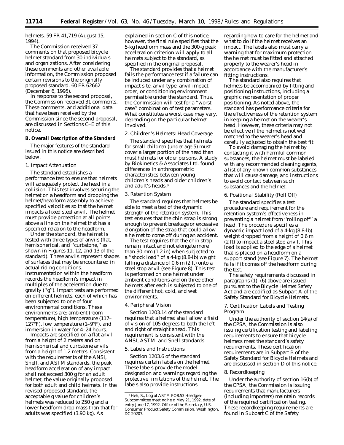helmets. 59 FR 41,719 (August 15, 1994).

The Commission received 37 comments on that proposed bicycle helmet standard from 30 individuals and organizations. After considering these comments and other available information, the Commission proposed certain revisions to the originally proposed standard. 60 FR 62662 (December 6, 1995).

In response to the second proposal, the Commission received 31 comments. These comments, and additional data that have been received by the Commission since the second proposal, are discussed in Sections C–E of this notice.

## **B. Overall Description of the Standard**

The major features of the standard issued in this notice are described below.

# *1. Impact Attenuation*

The standard establishes a performance test to ensure that helmets will adequately protect the head in a collision. This test involves securing the helmet on a headform and dropping the helmet/headform assembly to achieve specified velocities so that the helmet impacts a fixed steel anvil. The helmet must provide protection at all points above a line on the helmet that has a specified relation to the headform.

Under the standard, the helmet is tested with three types of anvils (flat, hemispherical, and ''curbstone,'' as shown in Figures 11, 12, and 13 of the standard). These anvils represent shapes of surfaces that may be encountered in actual riding conditions. Instrumentation within the headform records the headform's impact in multiples of the acceleration due to gravity (''g''). Impact tests are performed on different helmets, each of which has been subjected to one of four environmental conditions. These environments are: ambient (room temperature), high temperature (117– 127°F), low temperature  $(1-9°F)$ , and immersion in water for 4–24 hours.

Impacts are specified on a flat anvil from a height of 2 meters and on hemispherical and curbstone anvils from a height of 1.2 meters. Consistent with the requirements of the ANSI, Snell, and ASTM standards, the peak headform acceleration of any impact shall not exceed 300 g for an adult helmet, the value originally proposed for both adult and child helmets. In the revised proposed standard, the acceptable g value for children's helmets was reduced to 250 g and a lower headform drop mass than that for adults was specified (3.90 kg). As

explained in section C of this notice, however, the final rule specifies that the 5-kg headform mass and the 300-g peak acceleration criterion will apply to all helmets subject to the standard, as specified in the original proposal.

The standard provides that a helmet fails the performance test if a failure can be induced under any combination of impact site, anvil type, anvil impact order, or conditioning environment permissible under the standard. Thus, the Commission will test for a ''worst case'' combination of test parameters. What constitutes a worst case may vary, depending on the particular helmet involved.

# *2. Children's Helmets: Head Coverage*

The standard specifies that helmets for small children (under age 5) must cover a larger portion of the head than must helmets for older persons. A study by Biokinetics & Associates Ltd. found differences in anthropometric characteristics between young children's heads and older children's and adult's heads.9

#### *3. Retention System*

The standard requires that helmets be able to meet a test of the dynamic strength of the retention system. This test ensures that the chin strap is strong enough to prevent breakage or excessive elongation of the strap that could allow a helmet to come off during an accident.

The test requires that the chin strap remain intact and not elongate more than 30 mm (1.2 in) when subjected to a ''shock load'' of a 4-kg (8.8-lb) weight falling a distance of 0.6 m (2 ft) onto a steel stop anvil (see Figure 8). This test is performed on one helmet under ambient conditions and on three other helmets after each is subjected to one of the different hot, cold, and wet environments.

## *4. Peripheral Vision*

Section 1203.14 of the standard requires that a helmet shall allow a field of vision of 105 degrees to both the left and right of straight ahead. This requirement is consistent with the ANSI, ASTM, and Snell standards.

#### *5. Labels and Instructions*

Section 1203.6 of the standard requires certain labels on the helmet. These labels provide the model designation and warnings regarding the protective limitations of the helmet. The labels also provide instructions

regarding how to care for the helmet and what to do if the helmet receives an impact. The labels also must carry a warning that for maximum protection the helmet must be fitted and attached properly to the wearer's head in accordance with the manufacturer's fitting instructions.

The standard also requires that helmets be accompanied by fitting and positioning instructions, including a graphic representation of proper positioning. As noted above, the standard has performance criteria for the effectiveness of the retention system in keeping a helmet on the wearer's head. However, these criteria may not be effective if the helmet is not well matched to the wearer's head and carefully adjusted to obtain the best fit.

To avoid damaging the helmet by contacting it with harmful common substances, the helmet must be labeled with any recommended cleaning agents, a list of any known common substances that will cause damage, and instructions to avoid contact between such substances and the helmet.

#### *6. Positional Stability (Roll Off)*

The standard specifies a test procedure and requirement for the retention system's effectiveness in preventing a helmet from ''rolling off'' a head. The procedure specifies a dynamic impact load of a 4-kg (8.8-lb) weight dropped from a height of 0.6 m (2 ft) to impact a steel stop anvil. This load is applied to the edge of a helmet that is placed on a headform on a support stand (see Figure 7). The helmet fails if it comes off the headform during the test.

The safety requirements discussed in paragraphs (1)–(6) above are issued pursuant to the Bicycle Helmet Safety Act and are codified as Subpart A of the Safety Standard for Bicycle Helmets.

## *7. Certification Labels and Testing Program*

Under the authority of section 14(a) of the CPSA, the Commission is also issuing certification testing and labeling requirements to ensure that bicycle helmets meet the standard's safety requirements. These certification requirements are in Subpart B of the Safety Standard for Bicycle Helmets and are discussed in section D of this notice.

#### *8. Recordkeeping*

Under the authority of section 16(b) of the CPSA, the Commission is issuing requirements that manufacturers (including importers) maintain records of the required certification testing. These recordkeeping requirements are found in Subpart C of the Safety

<sup>9</sup>Heh, S., Log of ASTM FO8.53 Headgear Subcommittee meeting held May 21, 1992, date of entry June 17, 1992. Office of the Secretary, U.S. Consumer Product Safety Commission, Washington, DC 20207.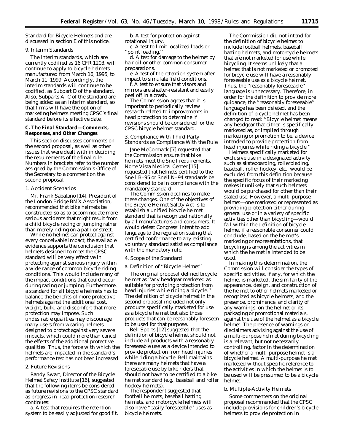Standard for Bicycle Helmets and are discussed in section E of this notice.

# *9. Interim Standards*

The interim standards, which are currently codified as 16 CFR 1203, will continue to apply to bicycle helmets manufactured from March 16, 1995, to March 11, 1999. Accordingly, the interim standards will continue to be codified, as Subpart D of the standard. Also, Subparts A–C of the standard are being added as an interim standard, so that firms will have the option of marketing helmets meeting CPSC's final standard before its effective date.

# **C. The Final Standard—Comments, Responses, and Other Changes**

This section discusses comments on the second proposal, as well as other issues that were dealt with in deciding the requirements of the final rule. Numbers in brackets refer to the number assigned by the Commission's Office of the Secretary to a comment on the second proposal.

## *1. Accident Scenarios*

Mr. Frank Sabatano [14], President of the London Bridge BMX Association, recommended that bike helmets be constructed so as to accommodate more serious accidents that might result from a child bicycle racing or jumping rather than merely riding on a path or street.

While no helmet can protect against every conceivable impact, the available evidence supports the conclusion that helmets designed to meet the CPSC standard will be very effective in protecting against serious injury within a wide range of common bicycle riding conditions. This would include many of the impact conditions that could occur during racing or jumping. Furthermore, a standard for all bicycle helmets has to balance the benefits of more protective helmets against the additional cost, weight, bulk, and discomfort that more protection may impose. Such undesirable qualities may discourage many users from wearing helmets designed to protect against very severe impacts, which could more than cancel the effects of the additional protective qualities. Thus, the force with which the helmets are impacted in the standard's performance test has not been increased.

## *2. Future Revisions*

Randy Swart, Director of the Bicycle Helmet Safety Institute [16], suggested that the following items be considered as future revisions to the CPSC standard as progress in head protection research continues:

a. A test that requires the retention system to be easily adjusted for good fit.

b. A test for protection against rotational injury.

c. A test to limit localized loads or ''point loading.''

d. A test for damage to the helmet by hair oil or other common consumer preparations.

e. A test of the retention system after impact to simulate field conditions.

f. A test to ensure that visors and mirrors are shatter-resistant and easily peel off in a crash.

The Commission agrees that it is important to periodically review research related to improvements in head protection to determine if revisions should be considered for the CPSC bicycle helmet standard.

# *3. Compliance With Third-Party Standards as Compliance With the Rule*

Jane McCormack [7] requested that the Commission ensure that bike helmets meet the Snell requirements. Norte Vista Medical Center [15] requested that helmets certified to the Snell B–95 or Snell N–94 standards be considered to be in compliance with the mandatory standard.

The Commission declines to make these changes. One of the objectives of the Bicycle Helmet Safety Act is to establish a unified bicycle helmet standard that is recognized nationally by all manufacturers and consumers. It would defeat Congress' intent to add language to the regulation stating that certified conformance to any existing voluntary standard satisfies compliance with the mandatory rule.

# *4. Scope of the Standard*

## a. Definition of ''Bicycle Helmet''

The original proposal defined bicycle helmet as ''any headgear marketed as suitable for providing protection from head injuries while riding a bicycle.'' The definition of bicycle helmet in the second proposal included not only products specifically marketed for use as a bicycle helmet but also those products that can be reasonably foreseen to be used for that purpose.

Bell Sports [12] suggested that the definition of bicycle helmet should not include all products with a reasonably foreseeable use as a device intended to provide protection from head injuries while riding a bicycle. Bell maintains there are many helmets that have a foreseeable use by bike riders that should not have to be certified to a bike helmet standard (*e.g.,* baseball and roller hockey helmets).

The respondent suggested that football helmets, baseball batting helmets, and motorcycle helmets will also have ''easily foreseeable'' uses as bicycle helmets.

The Commission did not intend for the definition of bicycle helmet to include football helmets, baseball batting helmets, and motorcycle helmets that are not marketed for use while bicycling. It seems unlikely that a helmet that is not marketed or promoted for bicycle use will have a reasonably foreseeable use as a bicycle helmet. Thus, the ''reasonably foreseeable'' language is unnecessary. Therefore, in order for the definition to provide more guidance, the ''reasonably foreseeable'' language has been deleted, and the definition of bicycle helmet has been changed to read: ''Bicycle helmet means any headgear that either is specifically marketed as, or implied through marketing or promotion to be, a device intended to provide protection from head injuries while riding a bicycle.''

Helmets specifically marketed for exclusive use in a designated activity such as skateboarding, rollerblading, baseball, roller hockey, etc., would be excluded from this definition because the specific focus of their marketing makes it unlikely that such helmets would be purchased for other than their stated use. However, a multi-purpose helmet—one marketed or represented as providing protection either during general use or in a variety of specific activities other than bicycling—would fall within the definition of bicycle helmet if a reasonable consumer could conclude, based on the helmet's marketing or representations, that bicycling is among the activities in which the helmet is intended to be used.

In making this determination, the Commission will consider the types of specific activities, if any, for which the helmet is marketed, the similarity of the appearance, design, and construction of the helmet to other helmets marketed or recognized as bicycle helmets, and the presence, prominence, and clarity of any warnings, on the helmet or its packaging or promotional materials, against the use of the helmet as a bicycle helmet. The presence of warnings or disclaimers advising against the use of a multi-purpose helmet during bicycling is a relevant, but not necessarily controlling, factor in the determination of whether a multi-purpose helmet is a bicycle helmet. A multi-purpose helmet marketed without specific reference to the activities in which the helmet is to be used will be presumed to be a bicycle helmet.

#### b. Multiple-Activity Helmets

Some commenters on the original proposal recommended that the CPSC include provisions for children's bicycle helmets to provide protection in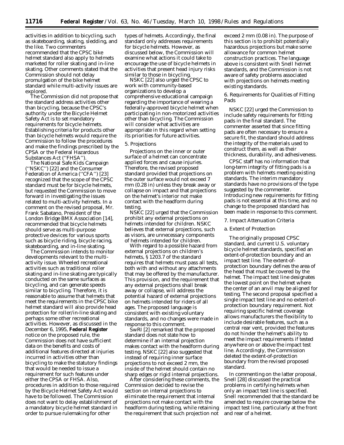activities in addition to bicycling, such as skateboarding, skating, sledding, and the like. Two commenters recommended that the CPSC bike helmet standard also apply to helmets marketed for roller skating and in-line skating. Other comments stated that the Commission should not delay promulgation of the bike helmet standard while multi-activity issues are explored.

The Commission did not propose that the standard address activities other than bicycling, because the CPSC's authority under the Bicycle Helmet Safety Act is to set mandatory requirements for *bicycle* helmets. Establishing criteria for products other than bicycle helmets would require the Commission to follow the procedures and make the findings prescribed by the CPSA or the Federal Hazardous Substances Act (''FHSA'').

The National Safe Kids Campaign (''NSKC'') [22] and the Consumer Federation of America ("CFA") [23] recognized that the scope of the CPSC standard must be for bicycle helmets, but requested the Commission to move forward in investigating the issues related to multi-activity helmets. In a comment on the revised proposal, Mr. Frank Sabatano, President of the London Bridge BMX Association [14], recommended that bicycle helmets should serve as multi-purpose protective devices for various sports such as bicycle riding, bicycle racing, skateboarding, and in-line skating.

The Commission intends to monitor developments relevant to the multiactivity issue. Wheeled recreational activities such as traditional roller skating and in-line skating are typically conducted on the same surfaces as bicycling, and can generate speeds similar to bicycling. Therefore, it is reasonable to assume that helmets that meet the requirements in the CPSC bike helmet standard will also provide head protection for roller/in-line skating and perhaps some other recreational activities. However, as discussed in the December 6, 1995, **Federal Register** notice on the proposed rule, the Commission does not have sufficient data on the benefits and costs of additional features directed at injuries incurred in activities other than bicycling to make the statutory findings that would be needed to issue a requirement for such features under either the CPSA or FHSA. Also, procedures in addition to those required by the Bicycle Helmet Safety Act would have to be followed. The Commission does not want to delay establishment of a mandatory bicycle helmet standard in order to pursue rulemaking for other

types of helmets. Accordingly, the final standard only addresses requirements for bicycle helmets. However, as discussed below, the Commission will examine what actions it could take to encourage the use of bicycle helmets in activities that present head injury risks similar to those in bicycling.

NSKC [22] also urged the CPSC to work with community-based organizations to develop a comprehensive educational campaign regarding the importance of wearing a federally-approved bicycle helmet when participating in non-motorized activities other than bicycling. The Commission will consider what activities are appropriate in this regard when setting its priorities for future activities.

## *5. Projections*

Projections on the inner or outer surface of a helmet can concentrate applied forces and cause injuries. Therefore, the revised proposed standard provided that projections on the outer surface would not exceed 7 mm (0.28 in) unless they break away or collapse on impact and that projections on the helmet's interior not make contact with the headform during testing.

NSKC [22] urged that the Commission prohibit any external projections on helmets intended for children. NSKC believes that external projections, such as visors, are unnecessary components of helmets intended for children.

With regard to a possible hazard from external projections on children's helmets, § 1203.7 of the standard requires that helmets must pass all tests, both with and without any attachments that may be offered by the manufacturer. This provision, and the requirement that any external projections shall break away or collapse, will address the potential hazard of external projections on helmets intended for riders of all ages. The proposed language is consistent with existing voluntary standards, and no changes were made in response to this comment.

SwRI [2] remarked that the proposed standard does not state how to determine if an internal projection makes contact with the headform during testing. NSKC [22] also suggested that instead of requiring inner surface projections to not exceed 2 mm, the inside of the helmet should contain no sharp edges or rigid internal projections.

After considering these comments, the Commission decided to revise the section on internal projections to eliminate the requirement that internal projections not make contact with the headform during testing, while retaining the requirement that such projection not

exceed 2 mm (0.08 in). The purpose of this section is to prohibit potentially hazardous projections but make some allowance for common helmet construction practices. The language above is consistent with Snell helmet standards, and the Commission is not aware of safety problems associated with projections on helmets meeting existing standards.

# *6. Requirements for Qualities of Fitting Pads*

NSKC [22] urged the Commission to include safety requirements for fitting pads in the final standard. The commenter asserted that since fitting pads are often necessary to ensure a secure fit, the standard should address the integrity of the materials used to construct them, as well as their thickness, durability, and adhesiveness.

CPSC staff has no information that long-term integrity of fitting pads is a problem with helmets meeting existing standards. The interim mandatory standards have no provisions of the type suggested by the commenter. Introducing new requirements for fitting pads is not essential at this time, and no change to the proposed standard has been made in response to this comment.

#### *7. Impact Attenuation Criteria*

## a. Extent of Protection

The originally proposed CPSC standard, and current U.S. voluntary bicycle helmet standards, specified an extent-of-protection boundary and an impact test line. The extent-ofprotection boundary defines the area of the head that must be covered by the helmet. The impact test line designates the lowest point on the helmet where the center of an anvil may be aligned for testing. The second proposal specified a single impact test line and no extent-ofprotection boundary requirement. Not requiring specific helmet coverage allows manufacturers the flexibility to include desirable features, such as a central rear vent, provided the features do not hinder the helmet's ability to meet the impact requirements if tested anywhere on or above the impact test line. Accordingly, the Commission deleted the extent-of-protection boundary from the revised proposed standard.

In commenting on the latter proposal, Snell [28] discussed the practical problems in certifying helmets when only an impact test line is specified. Snell recommended that the standard be amended to require coverage below the impact test line, particularly at the front and rear of a helmet.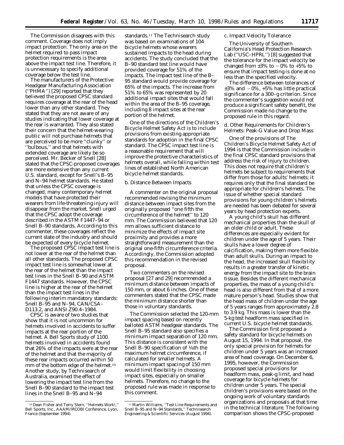The Commission disagrees with this comment. Coverage does not imply impact protection. The only area on the helmet required to pass impact protection requirements is the area above the impact test line. Therefore, it is unnecessary to specify additional coverage below the test line.

The manufacturers of the Protective Headgear Manufacturing Association (''PHMA'') [29] reported that they believed the proposed CPSC standard requires coverage at the rear of the head lower than any other standard. They stated that they are not aware of any studies indicating that lower coverage at the rear is warranted. They also stated their concern that the helmet-wearing public will not purchase helmets that are perceived to be more ''clunky'' or ''bulbous,'' and that helmets with extended coverage are likely be so perceived. Mr. Becker of Snell [28] stated that the CPSC-proposed coverages are more extensive than any current U.S. standard, except for Snell's B–95 and N–94 helmet standards. He stated that unless the CPSC coverage is changed, many contemporary helmet models that have protected their wearers from life-threatening injury will disappear from the market. Snell urged that the CPSC adopt the coverage described in the ASTM F1447–94 or Snell B–90 standards. According to this commenter, these coverages reflect the current state of the industry and should be expected of every bicycle helmet.

The proposed CPSC impact test line is not lower at the rear of the helmet than all other standards. The proposed CPSC impact test line is somewhat lower at the rear of the helmet than the impact test lines in the Snell B–90 and ASTM F1447 standards. However, the CPSC line is higher at the rear of the helmet than the impact test lines in the following interim mandatory standards: Snell B–95 and N–94, CAN/CSA– D113.2, and ANSI Z90.4–1984.

CPSC is aware of two studies that show that it is not uncommon for helmets involved in accidents to suffer impacts at the rear portion of the helmet. A Bell Sports study of 1100 helmets involved in accidents found that 26% of the impacts were at the rear of the helmet and that the majority of these rear impacts occurred within 50 mm of the bottom edge of the helmet.10 Another study, by Technisearch of Australia, examined the effect of lowering the impact test line from the Snell B–90 standard to the impact test lines in the Snell B–95 and N–94

standards.11 The Technisearch study was based on examinations of 104 bicycle helmets whose wearers sustained impacts to the head during accidents. The study concluded that the B–90 standard test line would have provided coverage for 51% of the impacts. The impact test line of the B– 95 standard would provide coverage for 65% of the impacts. The increase from 51% to 65% was represented by 20 additional impact sites that would fall within the area of the B–95 coverage, including 8 impact sites at the rear portion of the helmet.

One of the directions of the Children's Bicycle Helmet Safety Act is to include provisions from existing appropriate standards for adoption in the final CPSC standard. The CPSC impact test line is a reasonable requirement that will improve the protective characteristics of helmets overall, while falling within test lines of established North American bicycle helmet standards.

#### b. Distance Between Impacts

A commenter on the original proposal recommended revising the minimum distance between impact sites from the originally proposed ''one fifth the circumference of the helmet'' to 120 mm. The Commission believed that 120 mm allows sufficient distance to minimize the effects of impact site proximity and provides a more straightforward measurement than the original one-fifth circumference criteria. Accordingly, the Commission adopted this recommendation in the revised proposal.

Two commenters on the revised proposal [27 and 29] recommended a minimum distance between impacts of 150 mm, or about 6 inches. One of these commenters stated that the CPSC made the minimum distance shorter than those in voluntary standards.

The Commission selected the 120-mm impact spacing based on recently balloted ASTM headgear standards. The Snell B–95 standard also specifies a minimum impact separation of 120 mm. This distance is consistent with the Snell B–90 specification of <sup>1</sup>/6th the maximum helmet circumference, if calculated for smaller helmets. A minimum impact spacing of 150 mm would limit flexibility in choosing impact sites, especially on smaller helmets. Therefore, no change to the proposed rule was made in response to this comment.

# c. Impact Velocity Tolerance

The University of Southern California's Head Protection Research Lab (''USC–HPRL'') [8] suggested that the tolerance for the impact velocity be changed from  $\pm 3\%$  to  $-0\%$  to  $+5\%$  to ensure that impact testing is done at no less than the specified velocity.

The difference between tolerances of  $\pm 3\%$  and  $-0\%$ ,  $+5\%$  has little practical significance for a 300–g criterion. Since the commenter's suggestion would not produce a significant safety benefit, the Commission made no change to the proposed rule in this regard.

d. Other Requirements for Children's Helmets: Peak-G Value and Drop Mass

One of the provisions of The Children's Bicycle Helmet Safety Act of 1994 is that the Commission include in the final CPSC standard provisions that address the risk of injury to children. This does not require that children's helmets be subject to requirements that differ from those for adults' helmets; it requires only that the final standard be appropriate for children's helmets. The issue of whether special standard provisions for young children's helmets are needed has been debated for several years by head protection experts.

A young child's skull has different mechanical properties than the skull of an older child or adult. These differences are especially evident for children under the age of 5 years. Their skulls have a lower degree of calcification, making them more flexible than adult skulls. During an impact to the head, the increased skull flexibility results in a greater transfer of kinetic energy from the impact site to the brain tissue. Besides the different mechanical properties, the mass of a young child's head is also different from that of a more mature person's head. Studies show that the head mass of children under the age of 5 years ranges from approximately 2.8 to 3.9 kg. This mass is lower than the 5-kg test headform mass specified in current U.S. bicycle helmet standards.

The Commission first proposed a safety standard for bicycle helmets on August 15, 1994. In that proposal, the only special provision for helmets for children under 5 years was an increased area of head coverage. On December 6, 1995, however, the Commission proposed special provisions for headform mass, peak-g limit, and head coverage for bicycle helmets for children under 5 years. The special children's provisions were based on the ongoing work of voluntary standards organizations and proposals at that time in the technical literature. The following comparison shows the CPSC-proposed

<sup>10</sup> Dean Fisher and Terry Stern, ''Helmets Work!,'' Bell Sports, Inc., AAAM/IRCOBI Conference, Lyon, France (September 1994).

<sup>&</sup>lt;sup>11</sup> Martin Williams, "Test Line Requirements and Snell B-95 and N-94 Standards," Technisearch Engineering & Scientific Services (August 1994).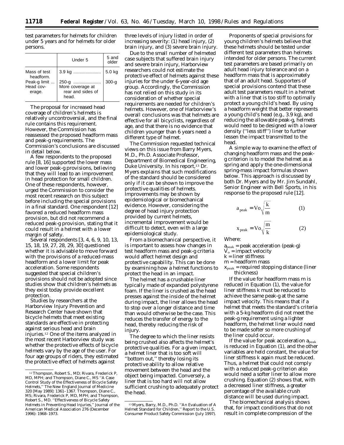test parameters for helmets for children under 5 years and for helmets for older persons.

|                                     | Under 5                                                 | 5 and<br>older |
|-------------------------------------|---------------------------------------------------------|----------------|
| Mass of test<br>headform.           | 3.9 kg                                                  | 5.0 kg         |
| Peak-g limit<br>Head cov-<br>erage. | 250-g<br>More coverage at<br>rear and sides of<br>head. | $300 - g$      |

The proposal for increased head coverage of children's helmets is relatively uncontroversial, and the final rule contains this requirement. However, the Commission has reassessed the proposed headform mass and peak-g requirements. The Commission's conclusions are discussed in detail below.

A few respondents to the proposed rule [8, 16] supported the lower mass and lower peak-g provisions, believing that they will lead to an improvement in head protection for small children. One of these respondents, however, urged the Commission to consider the most recent research on this subject before including the special provisions in a final standard. One respondent [12] favored a reduced headform mass provision, but did not recommend a reduced peak-g provision, stating that it could result in a helmet with a lower margin of safety.

Several respondents [3, 4, 6, 9, 10, 13, 15, 18, 19, 27, 28, 29, 30] questioned whether it is advisable to move forward with the provisions of a reduced-mass headform and a lower limit for peak acceleration. Some respondents suggested that special children's provisions should not be adopted since studies show that children's helmets as they exist today provide excellent protection.

Studies by researchers at the Harborview Injury Prevention and Research Center have shown that bicycle helmets that meet existing standards are effective in protecting against serious head and brain injuries.12 One of the items analyzed in the most recent Harborview study was whether the protective effects of bicycle helmets vary by the age of the user. For four age groups of riders, they estimated the protective effect of helmets against

three levels of injury listed in order of increasing severity: (1) head injury, (2) brain injury, and (3) severe brain injury.

Due to the small number of helmeted case subjects that suffered brain injury and severe brain injury, Harborview researchers could not estimate the protective effect of helmets against these injuries for the under 6-year-old age group. Accordingly, the Commission has not relied on this study in its consideration of whether special requirements are needed for children's helmets. However, one of Harborview's overall conclusions was that helmets are effective for all bicyclists, regardless of age, and that there is no evidence that children younger than 6 years need a different type of helmet.

The Commission requested technical views on this issue from Barry Myers, M.D., Ph.D. Associate Professor, Department of Biomedical Engineering, Duke University. In his report,<sup>13</sup> Dr. Myers explains that such modifications of the standard should be considered only if it can be shown to improve the protective qualities of helmets. Improvements may be shown by epidemiological or biomechanical evidence. However, considering the degree of head injury protection provided by current helmets, incremental improvement would be difficult to detect, even with a large epidemiological study.

From a biomechanical perspective, it is important to assess how changes in test headform mass and peak-g criteria would affect helmet design and protective capability. This can be done by examining how a helmet functions to protect the head in an impact.

The helmet has a crushable liner typically made of expanded polystyrene foam. If the liner is crushed as the head presses against the inside of the helmet during impact, the liner allows the head to stop over a longer distance and time than would otherwise be the case. This reduces the transfer of energy to the head, thereby reducing the risk of injury.

The degree to which the liner resists being crushed also affects the helmet's protective qualities. For a given impact, a helmet liner that is too soft will ''bottom out,'' thereby losing its protective ability to allow relative movement between the head and the object being impacted. Conversely, a liner that is too hard will not allow sufficient crushing to adequately protect the head.

Proponents of special provisions for young children's helmets believe that these helmets should be tested under different test parameters than helmets intended for older persons. The current test parameters are based primarily on adult head injury tolerance and on a headform mass that is approximately that of an adult head. Supporters of special provisions contend that these adult test parameters result in a helmet with a liner that is too stiff to optimally protect a young child's head. By using a headform weight that better represents a young child's head (e.g., 3.9 kg), and reducing the allowable peak-g, helmets would need to be designed with a lower density (''less stiff'') liner to further lessen the impact transmitted to the head.

A simple way to examine the effect of changing headform mass and the peakg criterion is to model the helmet as a spring and apply the one-dimensional spring-mass impact formulas shown below. This approach is discussed by both Dr. Myers and by Mr. Jim Sundahl, Senior Engineer with Bell Sports, in his response to the proposed rule [12].

$$
a_{\text{peak}} = \text{Vo}\sqrt{\frac{k}{m}}
$$
 (1)  

$$
x_{\text{peak}} = \text{Vo}\sqrt{\frac{m}{k}}
$$
 (2)

Where:

$$
a_{\text{peak}} = \text{peak acceleration (peak-g)}
$$

 $V_0$  = impact velocity

- k = liner stiffness
- m = headform mass
- xpeak = required stopping distance (liner thickness)

If the value for headform mass m is reduced in Equation (1), the value for liner stiffness k must be reduced to achieve the same peak-g at the same impact velocity. This means that if a helmet that meets the standard's criteria with a 5-kg headform did not meet the peak-g requirement using a lighter headform, the helmet liner would need to be made softer so more crushing of the liner could occur.

If the value for peak acceleration  $a_{peak}$ is reduced in Equation (1), and the other variables are held constant, the value for liner stiffness k again must be reduced. Thus, a helmet that could not comply with a reduced peak-g criterion also would need a softer liner to allow more crushing. Equation (2) shows that, with a decreased liner stiffness, a greater percentage of the available crush distance will be used during impact.

The biomechanical analysis shows that, for impact conditions that do not result in complete compression of the

<sup>12</sup>Thompson, Robert S., MD; Rivara, Frederick P, MD, MPH; and Thompson, Diane C., MS ''A Case Control Study of the Effectiveness of Bicycle Safety Helmets,'' The New England Journal of Medicine 320 [May 1989]: 1361–1367. Thompson, Diane C., MS; Rivara, Frederick P, MD, MPH; and Thompson, Robert S., MD. ''Effectiveness of Bicycle Safety Helmets in Preventing Head Injuries,'' Journal of the American Medical Association 276 (December 1996): 1968–1973.

<sup>13</sup>Myers, Barry, M.D., Ph.D. ''An Evaluation of A Helmet Standard for Children,'' Report to the U.S. Consumer Product Safety Commission (July 1997).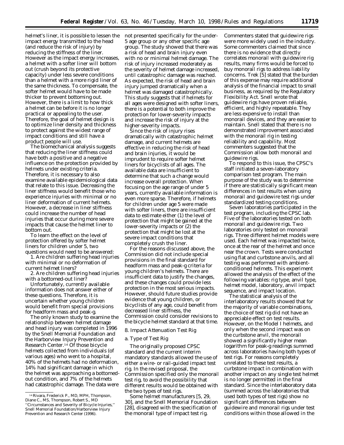helmet's liner, it is possible to lessen the not presented specifically for the underimpact energy transmitted to the head (and reduce the risk of injury) by reducing the stiffness of the liner. However as the impact energy increases, a helmet with a softer liner will bottom out (crush beyond its protective capacity) under less severe conditions than a helmet with a more rigid liner of the same thickness. To compensate, the softer helmet would have to be made thicker to prevent bottoming out. However, there is a limit to how thick a helmet can be before it is no longer practical or appealing to the user. Therefore, the goal of helmet design is to optimize liner density and thickness to protect against the widest range of impact conditions and still have a product people will use.

The biomechanical analysis suggests that reducing the liner stiffness could have both a positive and a negative influence on the protection provided by helmets under existing criteria. Therefore, it is necessary to also examine available epidemiological data that relate to this issue. Decreasing the liner stiffness would benefit those who experience injuries with minimal or no liner deformation of current helmets. However, a decrease in liner stiffness could increase the number of head injuries that occur during more severe impacts that cause the helmet liner to bottom out.

To learn the effect on the level of protection offered by softer helmet liners for children under 5, two questions would need to be answered:

1. Are children suffering head injuries with minimal or no deformation of current helmet liners?

2. Are children suffering head injuries with a bottomed-out liner?

Unfortunately, currently available information does not answer either of these questions. Therefore, it is uncertain whether young children would benefit from special provisions for headform mass and peak-g.

The only known study to examine the relationship between helmet damage and head injury was completed in 1996 by the Snell Memorial Foundation and the Harborview Injury Prevention and Research Center.14 Of those bicycle helmets collected from individuals (of various ages) who went to a hospital, 40% of the helmets had no deformation, 14% had significant damage in which the helmet was approaching a bottomedout condition, and 7% of the helmets had catastrophic damage. The data were

5 age group or any other specific age group. The study showed that there was a risk of head and brain injury even with no or minimal helmet damage. The risk of injury increased moderately as the severity of helmet damage increased, until catastrophic damage was reached. As expected, the risk of head and brain injury jumped dramatically when a helmet was damaged catastrophically. This study suggests that if helmets for all ages were designed with softer liners, there is a potential to both improve the protection for lower-severity impacts and increase the risk of injury at the higher-severity impacts.

Since the risk of injury rises dramatically with catastrophic helmet damage, and current helmets are effective in reducing the risk of head and brain injuries, it would be imprudent to require softer helmet liners for bicyclists of all ages. The available data are insufficient to determine that such a change would increase overall protection. When focusing on the age range of under 5 years, currently available information is even more sparse. Therefore, if helmets for children under age 5 were made with softer liners, there are insufficient data to estimate either (1) the level of protection that might be gained at the lower-severity impacts or (2) the protection that might be lost at the severe impact conditions that completely crush the liner.

For the reasons discussed above, the Commission did not include special provisions in the final standard for headform mass and peak-g criteria for young children's helmets. There are insufficient data to justify the changes, and these changes could provide less protection in the most serious impacts. However, should future studies provide evidence that young children, or bicyclists of any age, could benefit from decreased liner stiffness, the Commission could consider revisions to the bicycle helmet standard at that time.

# *8. Impact Attenuation Test Rig*

# a. Type of Test Rig

The originally proposed CPSC standard and the current interim mandatory standards allowed the use of either a wire- or rail-guided impact test rig. In the revised proposal, the Commission specified only the monorail test rig, to avoid the possibility that different results would be obtained with the two types of test rigs.

Some helmet manufacturers [5, 29, 30], and the Snell Memorial Foundation [28], disagreed with the specification of the monorail type of impact test rig.

Commenters stated that guidewire rigs were more widely used in the industry. Some commenters claimed that since there is no evidence that directly correlates monorail with guidewire rig results, many firms would be forced to buy monorail rigs to address liability concerns. Trek [5] stated that the burden of this expense may require additional analysis of the financial impact to small business, as required by the Regulatory Flexibility Act. Snell wrote that guidewire rigs have proven reliable, efficient, and highly repeatable. They are less expensive to install than monorail devices, and they are easier to maintain. Snell stated that there is no demonstrated improvement associated with the monorail rig in testing reliability and capability. Most commenters suggested that the Commission allow both monorail and guidewire rigs.

To respond to this issue, the CPSC's staff initiated a seven-laboratory comparison test program. The main purpose of the study was to determine if there are statistically significant mean differences in test results when using monorail and guidewire test rigs under standardized testing conditions.

Seven laboratories participated in the test program, including the CPSC lab. Five of the laboratories tested on both monorail and guidewire rigs. Two laboratories only tested on monorail rigs. Three different helmet models were used. Each helmet was impacted twice, once at the rear of the helmet and once near the crown. Tests were conducted using flat and curbstone anvils, and all testing was performed with ambientconditioned helmets. This experiment allowed the analysis of the effect of the following variables: rig type, anvil type, helmet model, laboratory, anvil impact sequence, and impact location.

The statistical analysis of the interlaboratory results showed that for the majority of variable combinations, the choice of test rig did not have an appreciable effect on test results. However, on the Model I helmets, and only when the second impact was on the curbstone anvil, the monorail showed a significantly higher mean logarithm for peak-g readings summed across laboratories having both types of test rigs. For reasons completely unrelated to these test results, a curbstone impact in combination with another impact on any single test helmet is no longer permitted in the final standard. Since the interlaboratory data (summed across the laboratories that used both types of test rigs) show no significant differences between guidewire and monorail rigs under test conditions within those allowed in the

<sup>14</sup>Rivara, Frederick P., MD, MPH, Thompson, Diane C., MS, Thompson, Robert S., MD ''Circumstances and Severity of Bicycle Injuries,'' Snell Memorial Foundation/Harborview Injury Prevention and Research Center (1996).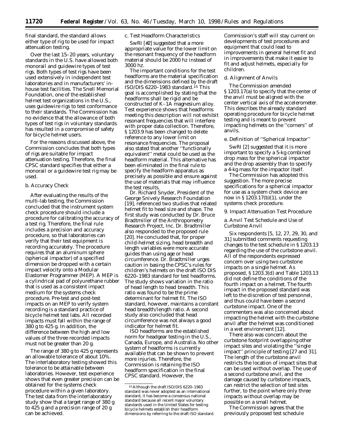final standard, the standard allows either type of rig to be used for impact attenuation testing.

Over the last 15–20 years, voluntary standards in the U.S. have allowed both monorail and guidewire types of test rigs. Both types of test rigs have been used extensively in independent test laboratories and in manufacturers' inhouse test facilities. The Snell Memorial Foundation, one of the established helmet test organizations in the U.S., uses guidewire rigs to test conformance to their standards. The Commission has no evidence that the allowance of both types of test rigs in voluntary standards has resulted in a compromise of safety for bicycle helmet users.

For the reasons discussed above, the Commission concludes that both types of rigs are suitable for impact attenuation testing. Therefore, the final CPSC standard specifies that either a monorail or a guidewire test rig may be used.

## b. Accuracy Check

After evaluating the results of the multi-lab testing, the Commission concluded that the instrument system check procedure should include a procedure for calibrating the accuracy of a test rig. Therefore, the final rule includes a precision and accuracy procedure, so that laboratories can verify that their test equipment is recording accurately. The procedure requires that an aluminum sphere (spherical impactor) of a specified dimension be dropped with a certain impact velocity onto a Modular Elastomer Programmer (MEP). A MEP is a cylindrical pad of polyurethane rubber that is used as a consistent impact medium for the systems check procedure. Pre-test and post-test impacts on an MEP to verify system recording is a standard practice of bicycle helmet test labs. All recorded impacts must fall within the range of 380 g to 425 g. In addition, the difference between the high and low values of the three recorded impacts must not be greater than 20 g.

The range of 380 g to 425 g represents an allowable tolerance of about 10%. The interlaboratory testing showed this tolerance to be attainable between laboratories. However, test experience shows that even greater precision can be obtained for the systems check procedure within a given laboratory. The test data from the interlaboratory study show that a target range of 380 g to 425 g and a precision range of 20 g can be achieved.

# c. Test Headform Characteristics

SwRI [#2] suggested that a more appropriate value for the lower limit on the resonant frequency of the headform material should be 2000 hz instead of 3000 hz.

The important conditions for the test headforms are the material specification and the dimensions defined by the draft ISO/DIS  $6220-1983$  standard.<sup>15</sup> This goal is accomplished by stating that the headforms shall be rigid and be constructed of K–1A magnesium alloy. Test experience shows that headforms meeting this description will not exhibit resonant frequencies that will interfere with proper data collection. Therefore, § 1203.9 has been changed to delete reference to any lower limit on resonance frequencies. The proposal also stated that another ''functionally equivalent'' metal could be used as the headform material. This alternative has been eliminated in the final rule to specify the headform apparatus as precisely as possible and ensure against the use of materials that may influence the test results.

Dr. Richard Snyder, President of the George Snively Research Foundation [19], referenced two studies that related helmet fit to head size and shape. The first study was conducted by Dr. Bruce Bradtmiller of the Anthropometry Research Project, Inc. Dr. Bradtmiller also responded to the proposed rule [20]. He concluded that, for proper child-helmet sizing, head breadth and length variables were more accurate guides than using age or head circumference. Dr. Bradtmiller urges caution in basing the CPSC's rules for children's helmets on the draft ISO DIS 6220–1983 standard for test headforms. The study shows variation in the ratio of head length to head breadth. This ratio was found to be the prime determinant for helmet fit. The ISO standard, however, maintains a constant head breadth/length ratio. A second study also concluded that head circumference was not always a good indicator for helmet fit.

ISO headforms are the established norm for headgear testing in the U.S. Canada, Europe, and Australia. No other system of headforms is currently available that can be shown to prevent more injuries. Therefore, the Commission is retaining the ISO headform specification in the final CPSC standard. However, the

Commission's staff will stay current on developments of test procedures and equipment that could lead to improvements in general helmet fit and in improvements that make it easier to fit and adjust helmets, especially for children.

#### d. Alignment of Anvils

The Commission amended § 1203.17(a) to specify that the center of the anvil must be aligned with the center vertical axis of the accelerometer. This describes the already standard operating procedure for bicycle helmet testing and is meant to prevent impacting helmets on the ''corners'' of anvils.

# e. Definition of ''Spherical Impactor''

SwRI [2] suggested that it is more important to specify a 5-kg combined drop mass for the spherical impactor and the drop assembly than to specify a 4-kg mass for the impactor itself.

The Commission has adopted this suggestion. The more precise specifications for a spherical impactor for use as a system check device are now in § 1203.17(b)(1), under the systems check procedure.

#### *9. Impact Attenuation Test Procedure*

a. Anvil Test Schedule and Use of Curbstone Anvil

Six respondents [5, 12, 27, 29, 30, and 31] submitted comments requesting changes to the test schedule in § 1203.13 regarding the use of the curbstone anvil. All of the respondents expressed concern over using two curbstone impacts on a single helmet. As proposed, § 1203.3(d) and Table 1203.13 did not define the conditions of the fourth impact on a helmet. The fourth impact in the proposed standard was left to the discretion of test personnel, and thus could have been a second curbstone impact. One of the commenters was also concerned about impacting the helmet with the curbstone anvil after the helmet was conditioned in a wet environment [12].

There also was concern about the curbstone footprint overlapping other impact sites and violating the ''single impact'' principle of testing [27 and 31]. The length of the curbstone anvil restricts the location of impact sites that can be used without overlap. The use of a second curbstone anvil, and the damage caused by curbstone impacts, can restrict the selection of test sites further, to the point where only three impacts without overlap may be possible on a small helmet.

The Commission agrees that the previously proposed test schedule

<sup>15</sup>Although the draft ISO/DIS 6220–1983 standard was never adopted as an international standard, it has become a consensus national standard because all recent major voluntary standards used in the United States for testing bicycle helmets establish their headform dimensions by referring to the draft ISO standard.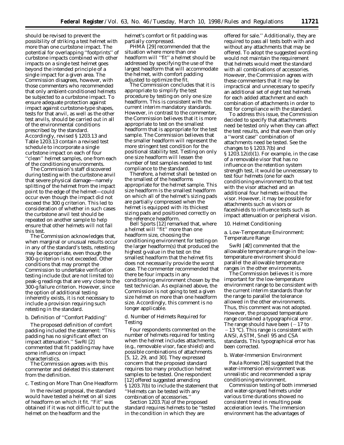should be revised to prevent the possibility of striking a test helmet with more than one curbstone impact. The potential for overlapping ''footprints'' of curbstone impacts combined with other impacts on a single test helmet goes beyond the intended principle of a single impact for a given area. The Commission disagrees, however, with those commenters who recommended that only ambient-conditioned helmets be subjected to a curbstone impact. To ensure adequate protection against impact against curbstone-type shapes, tests for that anvil, as well as the other test anvils, should be carried out in all of the environmental conditions prescribed by the standard. Accordingly, revised § 1203.13 and Table 1203.13 contain a revised test schedule to incorporate a single curbstone impact on each of four ''clean'' helmet samples, one from each of the conditioning environments.

The Commission's staff discovered during testing with the curbstone anvil that severe physical damage—namely splitting of the helmet from the impact point to the edge of the helmet—could occur even though the impact did not exceed the 300 g criterion. This led to consideration of whether in such cases the curbstone anvil test should be repeated on another sample to help ensure that other helmets will not fail this test.

The Commission acknowledges that, when marginal or unusual results occur in any of the standard's tests, retesting may be appropriate, even though the 300-g criterion is not exceeded. Other conditions that may prompt the Commission to undertake verification testing include (but are not limited to) peak-g readings that are very close to the 300-g failure criterion. However, since the option of additional testing inherently exists, it is not necessary to include a provision requiring such retesting in the standard.

# b. Definition of ''Comfort Padding''

The proposed definition of comfort padding included the statement: ''This padding has no significant effect on impact attenuation.'' SwRI [2] commented that fit padding may have some influence on impact characteristics.

The Commission agrees with this commenter and deleted this statement from the definition.

c. Testing on More Than One Headform

In the revised proposal, the standard would have tested a helmet on all sizes of headform on which it fit. ''Fit'' was obtained if it was not difficult to put the helmet on the headform and the

helmet's comfort or fit padding was partially compressed.

PHMA [29] recommended that the situation where more than one headform will ''fit'' a helmet should be addressed by specifying the use of the largest headform that will accommodate the helmet, with comfort padding adjusted to optimize the fit.

The Commission concludes that it is appropriate to simplify the test procedure by testing on only one size headform. This is consistent with the current interim mandatory standards. However, in contrast to the commenter, the Commission believes that it is more appropriate to test on the smallest headform that is appropriate for the test sample. The Commission believes that the smaller headform will represent the more stringent test condition for the positional stability test. Testing on only one size headform will lessen the number of test samples needed to test compliance to the standard.

Therefore, a helmet shall be tested on the smallest of the headforms appropriate for the helmet sample. This size headform is the smallest headform on which all of the helmet's sizing pads are partially compressed when the helmet is equipped with its thickest sizing pads and positioned correctly on the reference headform.

Bell Sports [12] remarked that, where a helmet will ''fit'' more than one headform size, choosing the conditioning environment for testing on the larger headform(s) that produced the highest g-value in the test on the smallest headform that the helmet fits does not necessarily provide the worst case. The commenter recommended that there be four impacts in any conditioning environment chosen by the test technician. As explained above, the Commission is not going to test a given size helmet on more than one headform size. Accordingly, this comment is no longer applicable.

d. Number of Helmets Required for Testing

Four respondents commented on the number of helmets required for testing when the helmet includes attachments, (e.g., removable visor, face shield) and possible combinations of attachments [5, 12, 29, and 30]. They expressed concern that the proposed standard requires too many production helmet samples to be tested. One respondent [12] offered suggested amending § 1203.7(b) to include the statement that ''Helmets can be tested with any combination of accessories.''

Section 1203.7(a) of the proposed standard requires helmets to be ''tested in the condition in which they are

offered for sale.'' Additionally, they are required to pass all tests both with and without any attachments that may be offered. To adopt the suggested wording would not maintain the requirement that helmets would meet the standard with all combinations of accessories. However, the Commission agrees with these commenters that it may be impractical and unnecessary to specify an additional set of eight test helmets for each added attachment and each combination of attachments in order to test for compliance with the standard.

To address this issue, the Commission decided to specify that attachments need be tested only when they can affect the test results, and that even then only a ''worst case'' combination of attachments need be tested. See the changes to § 1203.7(b) and § 1203.12(d)(1). For example, in the case of a removable visor that has no influence on the retention system strength test, it would be unnecessary to test four helmets (one for each conditioning environment) to that test with the visor attached and an additional four helmets without the visor. However, it may be possible for attachments such as visors or faceshields to influence tests such as impact attenuation or peripheral vision.

#### *10. Helmet Conditioning*

a. Low-Temperature Environment: Temperature Range

SwRI [#2] commented that the allowable temperature range in the lowtemperature environment should parallel the allowable temperature ranges in the other environments.

The Commission believes it is more important for the low-temperature environment range to be consistent with the current interim standards than for the range to parallel the tolerance allowed in the other environments. Thus, this comment was not adopted. However, the proposed temperature range contained a typographical error. The range should have been  $(-17$  to  $-13$  °C). This range is consistent with ANSI, ASTM, Snell 95 and CSA standards. This typographical error has been corrected.

#### b. Water-Immersion Environment

Paula Romeo [26] suggested that the water-immersion environment was unrealistic and recommended a spray conditioning environment.

Commission testing of both immersed and water-sprayed helmets under various time durations showed no consistent trend in resulting peak acceleration levels. The immersion environment has the advantages of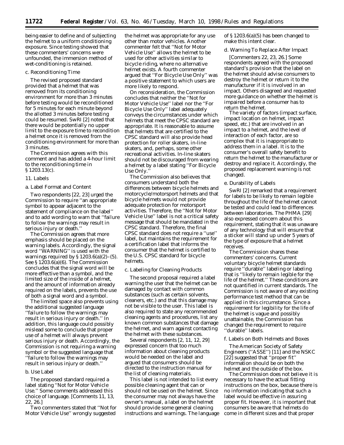being easier to define and of subjecting the helmet to a uniform conditioning exposure. Since testing showed that these commenters' concerns were unfounded, the immersion method of wet-conditioning is retained.

#### c. Reconditioning Time

The revised proposed standard provided that a helmet that was removed from its conditioning environment for more than 3 minutes before testing would be reconditioned for 5 minutes for each minute beyond the allotted 3 minutes before testing could be resumed. SwRI [2] noted that there would be potentially no upper limit to the exposure time to recondition a helmet once it is removed from the conditioning environment for more than 3 minutes.

The Commission agrees with this comment and has added a 4-hour limit to the reconditioning time in § 1203.13(c).

#### *11. Labels*

#### a. Label Format and Content

Two respondents [22, 23] urged the Commission to require ''an appropriate symbol to appear adjacent to the statement of compliance on the label'' and to add wording to warn that ''failure to follow the warnings may result in serious injury or death.''

The Commission agrees that more emphasis should be placed on the warning labels. Accordingly, the signal word ''WARNING'' is used with the warnings required by  $\S 1203.6(a)(2)–(5)$ . See § 1203.6(a)(6). The Commission concludes that the signal word will be more effective than a symbol, and the limited size of the inside of a helmet, and the amount of information already required on the labels, prevents the use of both a signal word and a symbol.

The limited space also prevents using the additional suggested language ''failure to follow the warnings may result in serious injury or death.'' In addition, this language could possibly mislead some to conclude that proper use of a helmet will always prevent serious injury or death. Accordingly, the Commission is not requiring a warning symbol or the suggested language that ''failure to follow the warnings may result in serious injury or death.''

## b. Use Label

The proposed standard required a label stating ''Not for Motor Vehicle Use.'' Some comments addressed this choice of language. [Comments 11, 13, 22, 26.]

Two commenters stated that ''Not for Motor Vehicle Use'' wrongly suggested

the helmet was appropriate for any use other than motor vehicles. Another commenter felt that ''Not for Motor Vehicle Use'' allows the helmet to be used for other activities similar to bicycle riding, where no alternative helmet exists. A fourth commenter argued that ''For Bicycle Use Only'' was a positive statement to which users are more likely to respond.

On reconsideration, the Commission concludes that neither the ''Not for Motor Vehicle Use'' label nor the ''For Bicycle Use Only'' label adequately conveys the circumstances under which helmets that meet the CPSC standard are appropriate. It is reasonable to assume that helmets that are certified to the CPSC standard will also provide head protection for roller skaters, in-line skaters, and, perhaps, some other recreational activities. In-line skaters should not be discouraged from wearing a helmet by a label stating ''For Bicycle Use Only.''

The Commission also believes that consumers understand both the differences between bicycle helmets and motorcycle/motorsport helmets and that bicycle helmets would not provide adequate protection for motorsport activities. Therefore, the ''Not for Motor Vehicle Use'' label is not a critical safety message that should be mandated in the CPSC standard. Therefore, the final CPSC standard does not require a ''use'' label, but maintains the requirement for a certification label that informs the consumer that the helmet is certified to the U.S. CPSC standard for bicycle helmets.

#### c. Labeling for Cleaning Products

The second proposal required a label warning the user that the helmet can be damaged by contact with common substances (such as certain solvents, cleaners, etc.) and that this damage may not be visible to the user. This label is also required to state any recommended cleaning agents and procedures, list any known common substances that damage the helmet, and warn against contacting the helmet with these substances.

Several respondents [2, 11, 12, 29] expressed concern that too much information about cleaning products would be needed on the label and argued that consumers should be directed to the instruction manual for the list of cleaning materials.

This label is not intended to list every possible cleaning agent that can or should not be used on the helmet. Since the consumer may not always have the owner's manual, a label on the helmet should provide some general cleaning instructions and warnings. The language of § 1203.6(a)(5) has been changed to make this intent clear.

#### d. Warning To Replace After Impact

[Commenters 22, 23, 26.] Some respondents agreed with the proposed standard's provision that the label on the helmet should advise consumers to destroy the helmet or return it to the manufacturer if it is involved in an impact. Others disagreed and requested more guidance on whether the helmet is impaired before a consumer has to return the helmet.

The variety of factors (impact surface, impact location on helmet, impact speed, etc.) that are involved in an impact to a helmet, and the level of interaction of each factor, are so complex that it is inappropriate to address them in a label. It is to the consumer's overall safety benefit to return the helmet to the manufacturer or destroy and replace it. Accordingly, the proposed replacement warning is not changed.

#### e. Durability of Labels

SwRI [2] remarked that a requirement for labels to be likely to remain legible throughout the life of the helmet cannot be tested and could lead to differences between laboratories. The PHMA [29] also expressed concern about this requirement, stating that it was unaware of any technology that will ensure that a sticker will stand up under 5 years of the type of exposure that a helmet receives.

The Commission shares these commenters' concerns. Current voluntary bicycle helmet standards require ''durable'' labeling or labeling that is ''likely to remain legible for the life of the helmet.'' These conditions are not quantified in current standards. The Commission is not aware of any existing performance test method that can be applied in this circumstance. Since a requirement for legibility for the life of the helmet is vague and possibly unattainable, the Commission has changed the requirement to require ''durable'' labels.

#### f. Labels on Both Helmets and Boxes

The American Society of Safety Engineers (''ASSE'') [11] and the NSKC [22] suggested that "proper fit" information should be on both the helmet and the outside of the box.

The Commission does not believe it is necessary to have the actual fitting instructions on the box, because there is no information indicating that such a label would be effective in assuring proper fit. However, it is important that consumers be aware that helmets do come in different sizes and that proper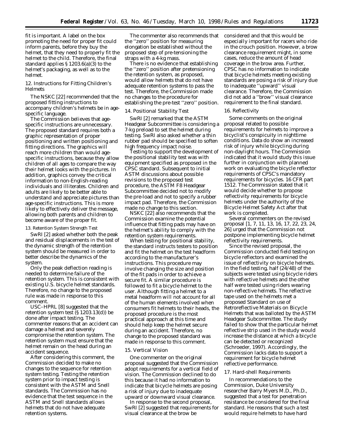fit is important. A label on the box promoting the need for proper fit could inform parents, before they buy the helmet, that they need to properly fit the helmet to the child. Therefore, the final standard applies § 1203.6(a)(3) to the helmet's packaging, as well as to the helmet.

# *12. Instructions for Fitting Children's Helmets*

The NSKC [22] recommended that the proposed fitting instructions to accompany children's helmets be in agespecific language.

The Commission believes that agespecific instructions are unnecessary. The proposed standard requires both a graphic representation of proper positioning and written positioning and fitting directions. The graphics will reach more children than would agespecific instructions, because they allow children of all ages to compare the way their helmet looks with the pictures. In addition, graphics convey the critical information to non-English-reading individuals and illiterates. Children and adults are likely to be better able to understand and appreciate pictures than age-specific instructions. This is more likely to effectively deliver the message, allowing both parents and children to become aware of the proper fit.

#### *13. Retention System Strength Test*

SwRI [2] asked whether both the peak and residual displacements in the test of the dynamic strength of the retention system should be measured in order to better describe the dynamics of the system.

Only the peak deflection reading is needed to determine failure of the retention system. This is consistent with existing U.S. bicycle helmet standards. Therefore, no change to the proposed rule was made in response to this comment.

USC–HPRL [8] suggested that the retention system test (§ 1203.13(d)) be done after impact testing. The commenter reasons that an accident can damage a helmet and severely compromise the retention system. The retention system must ensure that the helmet remain on the head during an accident sequence.

After considering this comment, the Commission decided to make no changes to the sequence for retention system testing. Testing the retention system prior to impact testing is consistent with the ASTM and Snell standards. The Commission has no evidence that the test sequence in the ASTM and Snell standards allows helmets that do not have adequate retention systems.

The commenter also recommends that the ''zero'' position for measuring elongation be established without the proposed step of pre-tensioning the straps with a 4-kg mass.

There is no evidence that establishing the ''zero'' position after pretensioning the retention system, as proposed, would allow helmets that do not have adequate retention systems to pass the test. Therefore, the Commission made no changes to the procedure for establishing the pre-test ''zero'' position.

#### *14. Positional Stability Test*

SwRI [2] remarked that the ASTM Headgear Subcommittee is considering a 7-kg preload to set the helmet during testing. SwRI also asked whether a thin rubber pad should be specified to soften high frequency impact noise.

Testing to support the development of the positional stability test was with equipment specified as proposed in the CPSC standard. Subsequent to initial ASTM discussions about possible revisions to the proposed test procedure, the ASTM F8 Headgear Subcommittee decided not to modify the pre-load and not to specify a rubber impact pad. Therefore, the Commission made no change to this section.

NSKC [22] also recommends that the Commission examine the potential influence that fitting pads may have on the helmet's ability to comply with the retention system requirements.

When testing for positional stability, the standard instructs testers to position and fit the helmet on the test headform according to the manufacturer's instructions. This procedure may involve changing the size and position of the fit pads in order to achieve a secure fit. A similar procedure is followed to fit a bicycle helmet to the user. Although fitting a helmet to a metal headform will not account for all of the human elements involved when consumers fit helmets to their heads, the proposed procedure is the most practical approach at this time and should help keep the helmet secure during an accident. Therefore, no change to the proposed standard was made in response to this comment.

#### *15. Vertical Vision*

One commenter on the original proposal suggested that the Commission adopt requirements for a vertical field of vision. The Commission declined to do this because it had no information to indicate that bicycle helmets are posing a risk of injury due to inadequate upward or downward visual clearance.

In response to the second proposal, SwRI [2] suggested that requirements for visual clearance at the brow be

considered and that this would be especially important for racers who ride in the crouch position. However, a brow clearance requirement might, in some cases, reduce the amount of head coverage in the brow area. Further, CPSC has no information to indicate that bicycle helmets meeting existing standards are posing a risk of injury due to inadequate ''upward'' visual clearance. Therefore, the Commission did not add a ''brow'' visual clearance requirement to the final standard.

#### *16. Reflectivity*

Some comments on the original proposal related to possible requirements for helmets to improve a bicyclist's conspicuity in nighttime conditions. Data do show an increased risk of injury while bicycling during non-daylight hours. The Commission indicated that it would study this issue further in conjunction with planned work on evaluating the bicycle reflector requirements of CPSC's mandatory requirements for bicycles. 16 CFR part 1512. The Commission stated that it would decide whether to propose reflectivity requirements for bicycle helmets under the authority of the Bicycle Helmet Safety Act after that work is completed.

Several commenters on the revised proposal [1, 7, 11, 13, 16, 17, 22, 23, 24, 26] urged that the Commission not postpone implementing bicycle helmet reflectivity requirements.

Since the revised proposal, the Commission conducted field testing on bicycle reflectors and examined the issue of reflectivity on bicycle helmets. In the field testing, half (24/48) of the subjects were tested using bicycle riders with reflective helmets and the other half were tested using riders wearing non-reflective helmets. The reflective tape used on the helmets met a proposed Standard on use of Retroreflective Materials on Bicycle Helmets that was balloted by the ASTM Headgear Subcommittee. The study failed to show that the particular helmet reflective strip used in the study would increase the distance at which a bicycle can be detected or recognized (Schroeder, 1997). Accordingly, the Commission lacks data to support a requirement for bicycle helmet reflective performance.

#### *17. Hard-shell Requirements*

In recommendations to the Commission, Duke University researcher Barry Myers M.D., Ph.D., suggested that a test for penetration resistance be considered for the final standard. He reasons that such a test would require helmets to have hard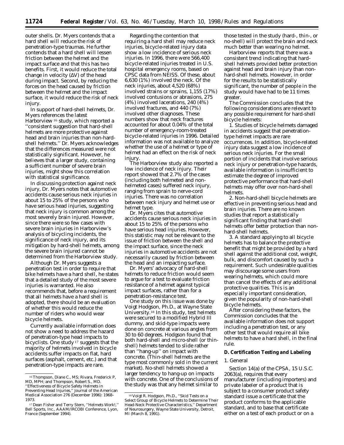outer shells. Dr. Myers contends that a hard shell will reduce the risk of penetration-type traumas. He further contends that a hard shell will lessen friction between the helmet and the impact surface and that this has two benefits. First, it would reduce the total change in velocity  $(\Delta V)$  of the head during impact. Second, by reducing the forces on the head caused by friction between the helmet and the impact surface, it would reduce the risk of neck injury.

In support of hard-shell helmets, Dr. Myers references the latest Harborview 16 study, which reported a ''consistent suggestion that hard-shell helmets are more protective against head and brain injuries than non-hardshell helmets.'' Dr. Myers acknowledges that the differences measured were not statistically significant. However, he believes that a larger study, containing a sufficient number of severe brain injuries, might show this correlation with statistical significance.

In discussing protection against neck injury, Dr. Myers notes that automotive accidents cause serious neck injuries in about 15 to 25% of the persons who have serious head injuries, suggesting that neck injury is common among the most severely brain injured. However, since there were so few cases with severe brain injuries in Harborview's analysis of bicycling incidents, the significance of neck injury, and its mitigation by hard-shell helmets, among the severe brain injured cannot be determined from the Harborview study.

Although Dr. Myers suggests a penetration test in order to require that bike helmets have a hard shell, he states that a detailed study of the most severe injuries is warranted. He also recommends that, before a requirement that all helmets have a hard shell is adopted, there should be an evaluation of whether this would reduce the number of riders who would wear bicycle helmets.

Currently available information does not show a need to address the hazard of penetration-type head impacts to bicyclists. One study 17 suggests that the majority of helmets involved in bicycle accidents suffer impacts on flat, hard surfaces (asphalt, cement, etc.) and that penetration-type impacts are rare.

Regarding the contention that requiring a hard shell may reduce neck injuries, bicycle-related injury data show a low incidence of serious neck injuries. In 1996, there were 566,400 bicycle-related injuries treated in U.S. hospital emergency rooms, based on CPSC data from NEISS. Of these, about 6,630 (1%) involved the neck. Of the neck injuries, about 4,520 (68%) involved strains or sprains, 1,155 (17%) involved contusions or abrasions, 275 (4%) involved lacerations, 240 (4%) involved fractures, and 440 (7%) involved other diagnoses. These numbers show that neck fractures accounted for about 0.04% of the total number of emergency-room-treated bicycle-related injuries in 1996. Detailed information was not available to analyze whether the use of a helmet or type of helmet had an effect on the risk of neck injury.

The Harborview study also reported a low incidence of neck injury. Their report showed that 2.7% of the cases (including both helmeted and nonhelmeted cases) suffered neck injury, ranging from sprain to nerve-cord injuries. There was no correlation between neck injury and helmet use or helmet type.

Dr. Myers cites that automotive accidents cause serious neck injuries in about 15 to 25% of the persons who have serious head injuries. However, this statistic may not be relevant to the issue of friction between the shell and the impact surface, since the neck injuries in automotive accidents are not necessarily caused by friction between the head and an impacting surface.

Dr. Myers' advocacy of hard-shell helmets to reduce friction would seem to argue for a test to evaluate friction resistance of a helmet against typical impact surfaces, rather than for a penetration-resistance test.

One study on this issue was done by Voigt Hodgson, Ph.D., at Wayne State University.18 In this study, test helmets were secured to a modified Hybrid III dummy, and skid-type impacts were done on concrete at various angles from 30 to 60 degrees. Hodgson found that both hard-shell and micro-shell (or thinshell) helmets tended to slide rather than ''hang-up'' on impact with concrete. (Thin-shell helmets are the type most commonly sold in the current market). No-shell helmets showed a larger tendency to hang-up on impacts with concrete. One of the conclusions of the study was that any helmet similar to

those tested in the study (hard-, thin-, or no-shell) will protect the brain and neck much better than wearing no helmet.

Harborview reports that there was a consistent trend indicating that hardshell helmets provided better protection against head and brain injury than nonhard-shell helmets. However, in order for the results to be statistically significant, the number of people in the study would have had to be 11 times greater.

The Commission concludes that the following considerations are relevant to any possible requirement for hard-shell bicycle helmets:

1. Studies of bicycle helmets damaged in accidents suggest that penetrationtype helmet impacts are rare occurrences. In addition, bicycle-related injury data suggest a low incidence of serious neck injuries. For the small portion of incidents that involve serious neck injury or penetration-type hazards, available information is insufficient to estimate the degree of improved protective performance that hard-shell helmets may offer over non-hard-shell helmets.

2. Non-hard-shell bicycle helmets are effective in preventing serious head and brain injuries. There are no known studies that report a statistically significant finding that hard-shell helmets offer better protection than nonhard-shell helmets.

3. A standard applying to all bicycle helmets has to balance the protective benefit that might be provided by a hard shell against the additional cost, weight, bulk, and discomfort caused by such a requirement. Such undesirable qualities may discourage some users from wearing helmets, which could more than cancel the effects of any additional protective qualities. This is an especially important consideration, given the popularity of non-hard-shell bicycle helmets.

After considering these factors, the Commission concludes that the available information does not support including a penetration test, or any other test that would require all bike helmets to have a hard shell, in the final rule.

## **D. Certification Testing and Labeling**

# *1. General*

Section 14(a) of the CPSA, 15 U.S.C. 2063(a), requires that every manufacturer (including importers) and private labeler of a product that is subject to a consumer product safety standard issue a certificate that the product conforms to the applicable standard, and to base that certificate either on a test of each product or on a

<sup>16</sup>Thompson, Diane C., MS; Rivara, Frederick P, MD, MPH; and Thompson, Robert S., MD. ''Effectiveness of Bicycle Safety Helmets in

Preventing Head Injuries,'' Journal of the American Medical Association 276 (December 1996): 1968– 1973.

<sup>17</sup> Dean Fisher and Terry Stern, ''Helmets Work!,'' Bell Sports, Inc., AAAM/IRCOBI Conference, Lyon, France (September 1994).

<sup>18</sup> Voigt R. Hodgson, Ph.D., ''Skid Tests on a Select Group of Bicycle Helmets to Determine Their Head-Neck Protective Characteristics,'' Department of Neurosurgery, Wayne State University, Detroit, MI (March 8, 1991).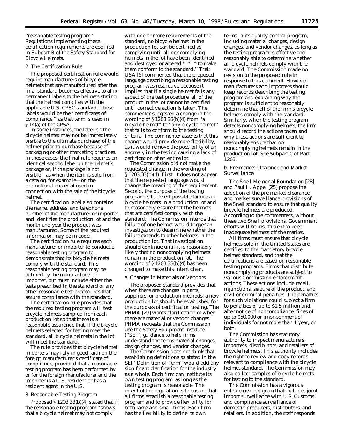''reasonable testing program.'' Regulations implementing these certification requirements are codified in Subpart B of the Safety Standard for Bicycle Helmets.

#### *2. The Certification Rule*

The proposed certification rule would require manufacturers of bicycle helmets that are manufactured after the final standard becomes effective to affix permanent labels to the helmets stating that the helmet complies with the applicable U.S. CPSC standard. These labels would be the ''certificates of compliance,'' as that term is used in § 14(a) of the CPSA.

In some instances, the label on the bicycle helmet may not be immediately visible to the ultimate purchaser of the helmet prior to purchase because of packaging or other marketing practices. In those cases, the final rule requires an identical second label on the helmet's package or, if the package is not visible—as when the item is sold from a catalog, for example—on the promotional material used in connection with the sale of the bicycle helmet.

The certification label also contains the name, address, and telephone number of the manufacturer or importer, and identifies the production lot and the month and year the product was manufactured. Some of the required information may be in code.

The certification rule requires each manufacturer or importer to conduct a reasonable testing program to demonstrate that its bicycle helmets comply with the standard. This reasonable testing program may be defined by the manufacturer or importer, but must include either the tests prescribed in the standard or any other reasonable test procedures that assure compliance with the standard.

The certification rule provides that the required testing program will test bicycle helmets sampled from each production lot so that there is a reasonable assurance that, if the bicycle helmets selected for testing meet the standard, all bicycle helmets in the lot will meet the standard.

The rule provides that bicycle helmet importers may rely in good faith on the foreign manufacturer's certificate of compliance, provided that a reasonable testing program has been performed by or for the foreign manufacturer and the importer is a U.S. resident or has a resident agent in the U.S.

## *3. Reasonable Testing Program*

Proposed § 1203.33(b)(4) stated that if the reasonable testing program ''shows that a bicycle helmet may not comply

with one or more requirements of the standard, no bicycle helmet in the production lot can be certified as complying until all noncomplying helmets in the lot have been identified and destroyed or altered \* \* \* to make them conform to the standard.'' Trek USA [5] commented that the proposed language describing a reasonable testing program was restrictive because it implies that if a single helmet fails any aspect of the test procedure, all of the product in the lot cannot be certified until corrective action is taken. The commenter suggested a change in the wording of § 1203.33(b)(4) from ''*a* bicycle helmet'' to ''*any* bicycle helmet'' that fails to conform to the testing criteria. The commenter asserts that this change would provide more flexibility, as it would remove the possibility of an anomaly in the testing causing a lack of certification of an entire lot.

The Commission did not make the requested change in the wording of § 1203.33(b)(4). First, it does not appear that the requested language would change the meaning of this requirement. Second, the purpose of the testing program is to detect possible failures of bicycle helmets in a production lot and to reasonably ensure that the helmets that are certified comply with the standard. The Commission intends that failure of one helmet would trigger an investigation to determine whether the failure extends to other helmets in the production lot. That investigation should continue until it is reasonably likely that no noncomplying helmets remain in the production lot. The wording of § 1203.33(b)(4) has been changed to make this intent clear.

#### a. Changes in Materials or Vendors

The proposed standard provides that when there are changes in parts, suppliers, or production methods, a new production lot should be established for the purposes of certification testing. The PHMA [29] wants clarification of when there are material or vendor changes. PHMA requests that the Commission use the Safety Equipment Institute (''SEI'') guidance to help firms understand the terms material changes, design changes, and vendor changes.

The Commission does not think that establishing definitions as stated in the SEI ''Definition of Term'' would add any significant clarification for the industry as a whole. Each firm can institute its own testing program, as long as the testing program is reasonable. The intent of the regulation is to ensure that all firms establish a reasonable testing program and to provide flexibility for both large and small firms. Each firm has the flexibility to define its own

terms in its quality control program, including material changes, design changes, and vendor changes, as long as the testing program is effective and reasonably able to determine whether all bicycle helmets comply with the standard. The Commission made no revision to the proposed rule in response to this comment. However, manufacturers and importers should keep records describing the testing program and explaining why the program is sufficient to reasonably determine that all of the firm's bicycle helmets comply with the standard. Similarly, when the testing program detects noncomplying helmets, the firm should record the actions taken and why those actions are sufficient to reasonably ensure that no noncomplying helmets remain in the production lot. See Subpart C of Part 1203.

b. Pre-market Clearance and Market Surveillance

The Snell Memorial Foundation [28] and Paul H. Appel [25] propose the adoption of the pre-market clearance and market surveillance provisions of the Snell standard to ensure that quality bicycle helmets are produced. According to the commenters, without these two Snell provisions, Government efforts will be insufficient to keep inadequate helmets off the market.

All firms must ensure that bicycle helmets sold in the United States are certified to the mandatory bicycle helmet standard, and that the certifications are based on reasonable testing programs. Firms that distribute noncomplying products are subject to various Commission enforcement actions. These actions include recall, injunctions, seizure of the product, and civil or criminal penalties. The penalties for such violations could subject a firm to penalties of up to \$1.5 million and, after notice of noncompliance, fines of up to \$50,000 or imprisonment of individuals for not more than 1 year, or both.

The Commission has statutory authority to inspect manufacturers, importers, distributors, and retailers of bicycle helmets. This authority includes the right to review and copy records relevant to compliance with the bicycle helmet standard. The Commission may also collect samples of bicycle helmets for testing to the standard.

The Commission has a vigorous enforcement program that includes joint import surveillance with U.S. Customs and compliance surveillance of domestic producers, distributors, and retailers. In addition, the staff responds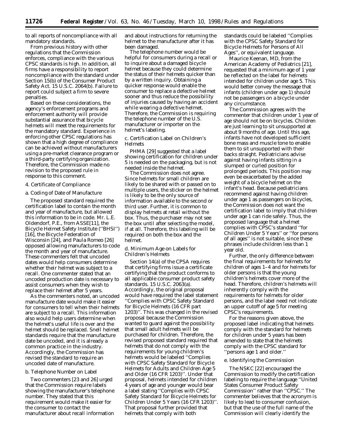to all reports of noncompliance with all mandatory standards.

From previous history with other regulations that the Commission enforces, compliance with the various CPSC standards is high. In addition, all firms have a responsibility to report noncompliance with the standard under Section 15(b) of the Consumer Product Safety Act. 15 U.S.C. 2064(b). Failure to report could subject a firm to severe penalties.

Based on these considerations, the agency's enforcement programs and enforcement authority will provide substantial assurance that bicycle helmets will meet the requirements for the mandatory standard. Experience in enforcing other CPSC regulations has shown that a high degree of compliance can be achieved without manufacturers using a pre-market clearance program or a third-party certifying organization. Therefore, the Commission made no revision to the proposed rule in response to this comment.

## *4. Certificate of Compliance*

# a. Coding of Date of Manufacture

The proposed standard required the certification label to contain the month and year of manufacture, but allowed this information to be in code. Mr. L.E. Oldendorf, P.E., from ASSE[11], the Bicycle Helmet Safety Institute (''BHSI'') [16], the Bicycle Federation of Wisconsin [24], and Paula Romeo [26] opposed allowing manufacturers to code the month and year of manufacture. These commenters felt that uncoded dates would help consumers determine whether their helmet was subject to a recall. One commenter stated that an uncoded production date is necessary to assist consumers when they wish to replace their helmet after 5 years.

As the commenters noted, an uncoded manufacture date would make it easier for consumers to tell when their helmets are subject to a recall. This information also would help users determine when the helmet's useful life is over and the helmet should be replaced. Snell helmet standards require that the manufacture date be uncoded, and it is already a common practice in the industry. Accordingly, the Commission has revised the standard to require an uncoded date of manufacture.

#### b. Telephone Number on Label

Two commenters [23 and 26] urged that the Commission require labels showing the manufacturer's telephone number. They stated that this requirement would make it easier for the consumer to contact the manufacturer about recall information

and about instructions for returning the helmet to the manufacturer after it has been damaged.

The telephone number would be helpful for consumers during a recall or to inquire about a damaged bicycle helmet because they could determine the status of their helmets quicker than by a written inquiry. Obtaining a quicker response would enable the consumer to replace a defective helmet sooner and thus reduce the possibility of injuries caused by having an accident while wearing a defective helmet. Therefore, the Commission is requiring the telephone number of the U.S. manufacturer or importer on the helmet's labeling.

c. Certification Label on Children's Helmets

PHMA [29] suggested that a label showing certification for children under 5 is needed on the packaging, but is not needed inside the helmet.

The Commission does not agree. Since helmets for small children are likely to be shared with or passed on to multiple users, the sticker on the helmet is likely to be the only source of information available to the second or third user. Further, it is common to display helmets at retail without the box. Thus, the purchaser may not see the box until after selecting the model, if at all. Therefore, this labeling will be required on both the box and the helmet.

#### d. Minimum Age on Labels for Children's Helmets

Section 14(a) of the CPSA requires that certifying firms issue a certificate certifying that the product conforms to all applicable consumer product safety standards. 15 U.S.C. 2063(a). Accordingly, the original proposal would have required the label statement ''Complies with CPSC Safety Standard for Bicycle Helmets (16 CFR part 1203)''. This was changed in the revised proposal because the Commission wanted to guard against the possibility that small adult helmets will be purchased for children. Therefore, the revised proposed standard required that helmets that do not comply with the requirements for young children's helmets would be labeled ''Complies with CPSC Safety Standard for Bicycle Helmets for Adults and Children Age 5 and Older (16 CFR 1203)''. Under that proposal, helmets intended for children 4 years of age and younger would bear a label stating ''Complies with CPSC Safety Standard for Bicycle Helmets for Children Under 5 Years (16 CFR 1203)''. That proposal further provided that helmets that comply with both

standards could be labeled ''Complies with the CPSC Safety Standard for Bicycle Helmets for Persons of All Ages'', or equivalent language.

Maurice Keenan, MD, from the American Academy of Pediatrics [21], requested that a minimum age of 1 year be reflected on the label for helmets intended for children under age 5. This would better convey the message that infants (children under age 1) should not be passengers on a bicycle under any circumstance.

The Commission agrees with the commenter that children under 1 year of age should not be on bicycles. Children are just learning to sit unsupported at about 9 months of age. Until this age, infants have not developed sufficient bone mass and muscle tone to enable them to sit unsupported with their backs straight. Pediatricians advise against having infants sitting in a slumped or curled position for prolonged periods. This position may even be exacerbated by the added weight of a bicycle helmet on the infant's head. Because pediatricians recommend against having children under age 1 as passengers on bicycles, the Commission does not want the certification label to imply that children under age 1 can ride safely. Thus, the proposed language that a helmet complies with CPSC's standard ''for Children Under 5 Years'' or ''for persons of all ages'' is not suitable, since these phrases include children less than 1 year old.

Further, the only difference between the final requirements for helmets for children of ages 1–4 and for helmets for older persons is that the young children's helmets cover more of the head. Therefore, children's helmets will inherently comply with the requirements for helmets for older persons, and the label need not indicate an upper cutoff of age 5 for meeting CPSC's requirements.

For the reasons given above, the proposed label indicating that helmets comply with the standard for helmets for children under 5 years has been amended to state that the helmets comply with the CPSC standard for ''persons age 1 and older.''

#### e. Identifying the Commission

The NSKC [22] encouraged the Commission to modify the certification labeling to require the language ''United States Consumer Product Safety Commission'' rather than ''CPSC.'' The commenter believes that the acronym is likely to lead to consumer confusion, but that the use of the full name of the Commission will clearly identify the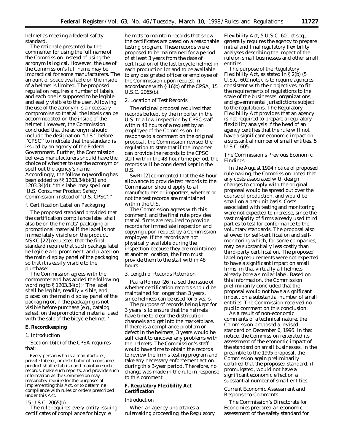helmet as meeting a federal safety standard.

The rationale presented by the commenter for using the full name of the Commission instead of using the acronym is logical. However, the use of the Commission's full name may be impractical for some manufacturers. The amount of space available on the inside of a helmet is limited. The proposed regulation requires a number of labels, and each one is supposed to be legible and easily visible to the user. Allowing the use of the acronym is a necessary compromise so that all the labels can be accommodated on the inside of the helmet. However, the Commission concluded that the acronym should include the designation ''U.S.'' before ''CPSC'' to indicate that the standard is issued by an agency of the Federal Government. Further, the Commission believes manufacturers should have the choice of whether to use the acronym or spell out the agency's name. Accordingly, the following wording has been added to §§ 1203.34(b)(1) and 1203.34(d): ''this label may spell out 'U.S. Consumer Product Safety Commission' instead of 'U.S. CPSC'.''

#### f. Certification Label on Packaging

The proposed standard provided that the certification compliance label shall also be on the helmets' packaging or promotional material if the label is not immediately visible on the product. NSKC [22] requested that the final standard require that such package label be legible and prominent, and placed on the main display panel of the packaging so that it is easily visible to the purchaser.

The Commission agrees with the commenter and has added the following wording to § 1203.34(d): ''The label shall be legible, readily visible, and placed on the main display panel of the packaging or, if the packaging is not visible before purchase (*e.g.*, catalog sales), on the promotional material used with the sale of the bicycle helmet.''

# **E. Recordkeeping**

#### *1. Introduction*

Section 16(b) of the CPSA requires that:

Every person who is a manufacturer, private labeler, or distributor of a consumer product shall establish and maintain such records, make such reports, and provide such information as the Commission may reasonably require for the purposes of implementing this Act, or to determine compliance with rules or orders prescribed under this Act.

#### 15 U.S.C. 2065(b)

The rule requires every entity issuing certificates of compliance for bicycle

helmets to maintain records that show the certificates are based on a reasonable testing program. These records were proposed to be maintained for a period of at least 3 years from the date of certification of the last bicycle helmet in each production lot and to be available to any designated officer or employee of the Commission upon request in accordance with § 16(b) of the CPSA, 15 U.S.C. 2065(b).

## *2. Location of Test Records*

The original proposal required that records be kept by the importer in the U.S. to allow inspection by CPSC staff within 48 hours of a request by an employee of the Commission. In response to a comment on the original proposal, the Commission revised the regulation to state that if the importer can provide the records to the CPSC staff within the 48-hour time period, the records will be considered kept in the U.S.

SwRI [2] commented that the 48-hour allowance to provide test records to the Commission should apply to all manufacturers or importers, whether or not the test records are maintained within the U.S.

The Commission agrees with this comment, and the final rule provides that all firms are required to provide records for immediate inspection and copying upon request by a Commission employee. If the records are not physically available during the inspection because they are maintained at another location, the firm must provide them to the staff within 48 hours.

## *3. Length of Records Retention*

Paula Romeo [26] raised the issue of whether certification records should be maintained for longer than 3 years, since helmets can be used for 5 years.

The purpose of records being kept for 3 years is to ensure that the helmets have time to clear the distribution channels and get into the marketplace. If there is a compliance problem or defect in the helmets, 3 years would be sufficient to uncover any problems with the helmets. The Commission's staff would have time to obtain the records to review the firm's testing program and take any necessary enforcement action during this 3-year period. Therefore, no change was made in the rule in response to this comment.

# **F. Regulatory Flexibility Act Certification**

#### *Introduction*

When an agency undertakes a rulemaking proceeding, the Regulatory Flexibility Act, 5 U.S.C. 601 *et seq.*, generally requires the agency to prepare initial and final regulatory flexibility analyses describing the impact of the rule on small businesses and other small entities.

The purpose of the Regulatory Flexibility Act, as stated in § 2(b) (5 U.S.C. 602 note), is to require agencies, consistent with their objectives, to fit the requirements of regulations to the scale of the businesses, organizations, and governmental jurisdictions subject to the regulations. The Regulatory Flexibility Act provides that an agency is not required to prepare a regulatory flexibility analysis if the head of an agency certifies that the rule will not have a significant economic impact on a substantial number of small entities. 5 U.S.C. 605.

# *The Commission's Previous Economic Findings*

In the August 1994 notice of proposed rulemaking, the Commission noted that any costs associated with design changes to comply with the original proposal would be spread out over the course of production, and would be small on a per-unit basis. Costs associated with testing and monitoring were not expected to increase, since the vast majority of firms already used third parties to test for conformance to the voluntary standards. The proposal also allowed for self-certification and selfmonitoring which, for some companies, may be substantially less costly than third-party certification. The proposed labeling requirements were not expected to have a significant impact on small firms, in that virtually all helmets already bore a similar label. Based on this information, the Commission preliminarily concluded that the proposal would not have a significant impact on a substantial number of small entities. The Commission received no public comment on this conclusion.

As a result of non-economic comments of a technical nature, the Commission proposed a revised standard on December 6, 1995. In that notice, the Commission reiterated its assessment of the economic impact of the standard on small businesses. In the preamble to the 1995 proposal, the Commission again preliminarily certified that the proposed standard, if promulgated, would not have a significant economic effect on a substantial number of small entities.

## *Current Economic Assessment and Response to Comments*

The Commission's Directorate for Economics prepared an economic assessment of the safety standard for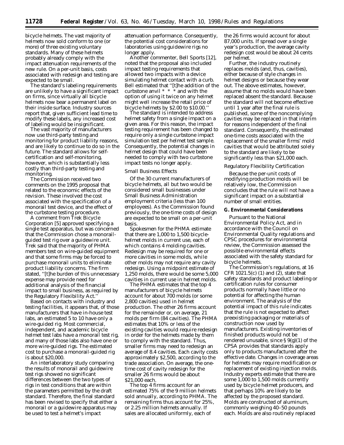bicycle helmets. The vast majority of helmets now sold conform to one (or more) of three existing voluntary standards. Many of these helmets probably already comply with the impact attenuation requirements of the new rule. On a per-unit basis, costs associated with redesign and testing are expected to be small.

The standard's labeling requirements are unlikely to have a significant impact on firms, since virtually all bicycle helmets now bear a permanent label on their inside surface. Industry sources report that, given sufficient lead time to modify these labels, any increased cost of labeling would be insignificant.

The vast majority of manufacturers now use third-party testing and monitoring for product liability reasons, and are likely to continue to do so in the future. The standard allows for selfcertification and self-monitoring, however, which is substantially less costly than third-party testing and monitoring.

The Commission received two comments on the 1995 proposal that related to the economic effects of the revision. These involved the cost associated with the specification of a monorail test device, and the effect of the curbstone testing procedure.

A comment from Trek Bicycle Corporation [5] approved specifying a single test apparatus, but was concerned that the Commission chose a monorailguided test rig over a guidewire unit. Trek said that the majority of PHMA members test on wire-guided equipment and that some firms may be forced to purchase monorail units to eliminate product liability concerns. The firm stated, ''[t]he burden of this unnecessary expense may provide need for additional analysis of the financial impact to small business, as required by the Regulatory Flexibility Act.

Based on contacts with industry and testing facilities, it appears that, of those manufacturers that have in-house test labs, an estimated 5 to 10 have only a wire-guided rig. Most commercial, independent, and academic bicycle helmet test labs have a monorail test rig, and many of those labs also have one or more wire-guided rigs. The estimated cost to purchase a monorail-guided rig is about \$20,000.

An interlaboratory study comparing the results of monorail and guidewire test rigs showed no significant differences between the two types of rigs in test conditions that are within the parameters permitted by the draft standard. Therefore, the final standard has been revised to specify that either a monorail or a guidewire apparatus may be used to test a helmet's impact

attenuation performance. Consequently, the potential cost considerations for laboratories using guidewire rigs no longer apply.

Another commenter, Bell Sports [12], noted that the proposal also included impact testing requirements that allowed two impacts with a device simulating helmet contact with a curb. Bell estimated that ''[t]he addition of the curbstone anvil \* \* \* and with the option of using it twice on any helmet might well increase the retail price of bicycle helmets by \$2.00 to \$10.00.''

The standard is intended to address helmet safety from a single impact on a given area. For this reason, the impact testing requirement has been changed to require only a single curbstone impact simulation test per helmet test sample. Consequently, the potential changes in helmet design that could have been needed to comply with two curbstone impact tests no longer apply.

#### *Small Business Effects*

Of the 30 current manufacturers of bicycle helmets, all but two would be considered small businesses under Small Business Administration employment criteria (less than 100 employees). As the Commission found previously, the one-time costs of design are expected to be small on a per-unit basis.

Spokesmen for the PHMA estimate that there are 1,000 to 1,500 bicyclehelmet molds in current use, each of which contains 4 molding cavities. Redesign may be required for one or more cavities in some molds, while other molds may not require any cavity redesign. Using a midpoint estimate of 1,250 molds, there would be some 5,000 cavities in current use in helmet molds.

The PHMA estimates that the top 4 manufacturers of bicycle helmets account for about 700 molds (or some 2,800 cavities) used in helmet production. The other 26 firms account for the remainder or, on average, 21 molds per firm (84 cavities). The PHMA estimates that 10% or less of the existing cavities would require redesign in order for the helmets made by them to comply with the standard. Thus, smaller firms may need to redesign an average of 8.4 cavities. Each cavity costs approximately \$2,500, according to the trade association. On average, the onetime cost of cavity redesign for the smaller 26 firms would be about \$21,000 each.

The top 4 firms account for an estimated 75% of the 9 million helmets sold annually, according to PHMA. The remaining firms thus account for 25%, or 2.25 million helmets annually. If sales are allocated uniformly, each of

the 26 firms would account for about 87,000 units. If spread over a single year's production, the average cavity redesign cost would be about 24 cents per helmet.

Further, the industry routinely replaces molds (and, thus, cavities), either because of style changes in helmet designs or because they wear out. The above estimates, however, assume that no molds would have been replaced absent the standard. Because the standard will not become effective until 1 year after the final rule is published, some of the noncomplying cavities may be replaced in that interim for reasons independent of the final standard. Consequently, the estimated one-time costs associated with the replacement of the smaller firms' mold cavities that would be attributed solely to the standard are likely to be significantly less than \$21,000 each.

## *Regulatory Flexibility Certification*

Because the per-unit costs of modifying production molds will be relatively low, the Commission concludes that the rule will not have a significant impact on a substantial number of small entities.

# **G. Environmental Considerations**

Pursuant to the National Environmental Policy Act, and in accordance with the Council on Environmental Quality regulations and CPSC procedures for environmental review, the Commission assessed the possible environmental effects associated with the safety standard for bicycle helmets.

The Commission's regulations, at 16 CFR 1021.5(c) (1) and (2), state that safety standards and product labeling or certification rules for consumer products normally have little or no potential for affecting the human environment. The analysis of the potential impact of this rule indicates that the rule is not expected to affect preexisting packaging or materials of construction now used by manufacturers. Existing inventories of finished products would not be rendered unusable, since  $\S 9(g)(1)$  of the CPSA provides that standards apply only to products manufactured after the effective date. Changes in coverage areas for helmets may require modification or replacement of existing injection molds. Industry experts estimate that there are some 1,000 to 1,500 molds currently used by bicycle helmet producers, and that perhaps 10% are likely to be affected by the proposed standard. Molds are constructed of aluminum, commonly weighing 40–50 pounds each. Molds are also routinely replaced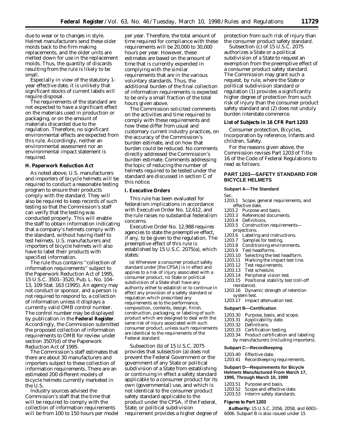due to wear or to changes in style. Helmet manufacturers send these older molds back to the firm making replacements, and the older units are melted down for use in the replacement molds. Thus, the quantity of discards resulting from the rule is likely to be small.

Especially in view of the statutory 1 year effective date, it is unlikely that significant stocks of current labels will require disposal.

The requirements of the standard are not expected to have a significant effect on the materials used in production or packaging, or on the amount of materials discarded due to the regulation. Therefore, no significant environmental effects are expected from this rule. Accordingly, neither an environmental assessment nor an environmental impact statement is required.

#### **H. Paperwork Reduction Act**

As noted above, U.S. manufacturers and importers of bicycle helmets will be required to conduct a reasonable testing program to ensure their products comply with the standard. They will also be required to keep records of such testing so that the Commission's staff can verify that the testing was conducted properly. This will enable the staff to obtain information indicating that a company's helmets comply with the standard, without having itself to test helmets. U.S. manufacturers and importers of bicycle helmets will also have to label their products with specified information.

The rule thus contains ''collection of information requirements'' subject to the Paperwork Reduction Act of 1995, 15 U.S.C. 3501–3520, Pub. L. No. 104– 13, 109 Stat. 163 (1995). An agency may not conduct or sponsor, and a person is not required to respond to, a collection of information unless it displays a currently valid OMB control number. The control number may be displayed by publication in the **Federal Register**. Accordingly, the Commission submitted the proposed collection of information requirements to OMB for review under section 3507(d) of the Paperwork Reduction Act of 1995.

The Commission's staff estimates that there are about 30 manufacturers and importers subject to these collection of information requirements. There are an estimated 200 different models of bicycle helmets currently marketed in the U.S.

Industry sources advised the Commission's staff that the time that will be required to comply with the collection of information requirements will be from 100 to 150 hours per model

per year. Therefore, the total amount of time required for compliance with these requirements will be 20,000 to 30,000 hours per year. However, these estimates are based on the amount of time that is currently expended in complying with the similar requirements that are in the various voluntary standards. Thus, the additional burden of the final collection of information requirements is expected to be only a small fraction of the total hours given above.

The Commission solicited comments on the activities and time required to comply with these requirements and how these differ from usual and customary current industry practices, on the accuracy of the Commission's burden estimate, and on how that burden could be reduced. No comments directly addressed the Commission's burden estimate. Comments addressing the topic of reducing the number of helmets required to be tested under the standard are discussed in section C of this notice.

# **I. Executive Orders**

This rule has been evaluated for federalism implications in accordance with Executive Order No. 12,612, and the rule raises no substantial federalism concerns.

Executive Order No. 12,988 requires agencies to state the preemptive effect, if any, to be given to the regulation. The preemptive effect of this rule is established by 15 U.S.C. 2075(a), which states:

(a) Whenever a consumer product safety standard under [the CPSA] is in effect and applies to a risk of injury associated with a consumer product, no State or political subdivision of a State shall have any authority either to establish or to continue in effect any provision of a safety standard or regulation which prescribed any requirements as to the performance, composition, contents, design, finish, construction, packaging, or labeling of such product which are designed to deal with the same risk of injury associated with such consumer product, unless such requirements are identical to the requirements of the Federal standard.

Subsection (b) of 15 U.S.C. 2075 provides that subsection (a) does not prevent the Federal Government or the government of any State or political subdivision of a State from establishing or continuing in effect a safety standard applicable to a consumer product for its own (governmental) use, and which is not identical to the consumer product safety standard applicable to the product under the CPSA, if the Federal, State, or political subdivision requirement provides a higher degree of protection from such risk of injury than the consumer product safety standard.

Subsection (c) of 15 U.S.C. 2075 authorizes a State or a political subdivision of a State to request an exemption from the preemptive effect of a consumer product safety standard. The Commission may grant such a request, by rule, where the State or political subdivision standard or regulation (1) provides a significantly higher degree of protection from such risk of injury than the consumer product safety standard and (2) does not unduly burden interstate commerce.

## **List of Subjects in 16 CFR Part 1203**

Consumer protection, Bicycles, Incorporation by reference, Infants and children, Safety.

For the reasons given above, the Commission revises Part 1203 of Title 16 of the Code of Federal Regulations to read as follows:

# **PART 1203—SAFETY STANDARD FOR BICYCLE HELMETS**

#### **Subpart A—The Standard**

Sec.

- 1203.1 Scope, general requirements, and
- effective date.<br>1203.2 Purpose a
- 1203.2 Purpose and basis.<br>1203.3 Referenced docum Referenced documents.
- 
- 1203.4 Definitions.<br>1203.5 Constructio Construction requirements-
- projections.
- 1203.6 Labeling and instructions.<br>1203.7 Samples for testing.
- 1203.7 Samples for testing.<br>1203.8 Conditioning enviro
- Conditioning environments.
- 1203.9 Test headforms.<br>1203.10 Selecting the to
- Selecting the test headform.
- 1203.11 Marking the impact test line.<br>1203.12 Test requirements.
- 1203.12 Test requirements.<br>1203.13 Test schedule.
	-
- 1203.13 Test schedule.<br>1203.14 Peripheral visi Peripheral vision test.
- 1203.15 Positional stability test (roll-off resistance).
- 1203.16 Dynamic strength of retention system test.
- 1203.17 Impact attenuation test.

## **Subpart B—Certification**

- 1203.30 Purpose, basis, and scope.
- 1203.31 Applicability date.
- 1203.32 Definitions.
- 1203.33 Certification testing.
- 1203.34 Product certification and labeling
- by manufacturers (including importers).

#### **Subpart C—Recordkeeping**

- 1203.40 Effective date.
- 1203.41 Recordkeeping requirements.

## **Subpart D—Requirements for Bicycle Helmets Manufactured From March 17, 1995, Through March 10, 1999**

- 
- 1203.51 Purpose and basis.<br>1203.52 Scope and effective Scope and effective date.
- 1203.53 Interim safety standards.

## **Figures to Part 1203**

**Authority:** 15 U.S.C. 2056, 2058, and 6001– 6006. Subpart B is also issued under 15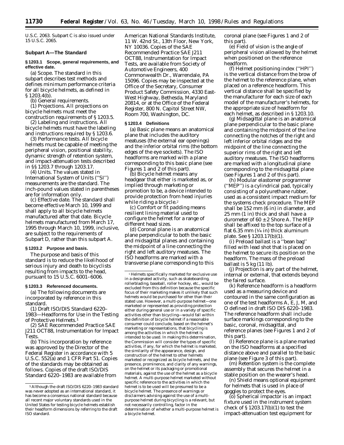U.S.C. 2063. Subpart C is also issued under 15 U.S.C. 2065.

#### **Subpart A—The Standard**

# **§ 1203.1 Scope, general requirements, and effective date.**

(a) *Scope.* The standard in this subpart describes test methods and defines minimum performance criteria for all bicycle helmets, as defined in § 1203.4(b).

(b) *General requirements.*

(1) *Projections.* All projections on bicycle helmets must meet the construction requirements of § 1203.5.

(2) *Labeling and instructions.* All bicycle helmets must have the labeling and instructions required by § 1203.6.

(3) *Performance tests*. All bicycle helmets must be capable of meeting the peripheral vision, positional stability, dynamic strength of retention system, and impact-attenuation tests described in §§ 1203.7 through 1203.17.

(4) *Units.* The values stated in International System of Units (''SI'') measurements are the standard. The inch-pound values stated in parentheses are for information only.

(c) *Effective date.* The standard shall become effective March 10, 1999 and shall apply to all bicycle helmets manufactured after that date. Bicycle helmets manufactured from March 17, 1995 through March 10, 1999, inclusive, are subject to the requirements of Subpart D, rather than this subpart A.

#### **§ 1203.2 Purpose and basis.**

The purpose and basis of this standard is to reduce the likelihood of serious injury and death to bicyclists resulting from impacts to the head, pursuant to 15 U.S.C. 6001–6006.

#### **§ 1203.3 Referenced documents.**

(a) The following documents are incorporated by reference in this standard.

(1) Draft ISO/DIS Standard 6220– 1983—Headforms for Use in the Testing of Protective Helmets.1

(2) SAE Recommended Practice SAE J211 OCT88, Instrumentation for Impact **Tests** 

(b) This incorporation by reference was approved by the Director of the Federal Register in accordance with 5 U.S.C. 552(a) and 1 CFR Part 51. Copies of the standards may be obtained as follows. Copies of the draft ISO/DIS Standard 6220–1983 are available from

American National Standards Institute, 11 W. 42nd St., 13th Floor, New York, NY 10036. Copies of the SAE Recommended Practice SAE J211 OCT88, Instrumentation for Impact Tests, are available from Society of Automotive Engineers, 400 Commonwealth Dr., Warrendale, PA 15096. Copies may be inspected at the Office of the Secretary, Consumer Product Safety Commission, 4330 East-West Highway, Bethesda, Maryland 20814, or at the Office of the Federal Register, 800 N. Capitol Street NW, Room 700, Washington, DC.

# **§ 1203.4 Definitions**

(a) *Basic plane* means an anatomical plane that includes the auditory meatuses (the external ear openings) and the inferior orbital rims (the bottom edges of the eye sockets). The ISO headforms are marked with a plane corresponding to this basic plane (see Figures 1 and 2 of this part).

(b) *Bicycle helmet* means any headgear that either is marketed as, or implied through marketing or promotion to be, a device intended to provide protection from head injuries while riding a bicycle.<sup>2</sup>

(c) *Comfort or fit padding* means resilient lining material used to configure the helmet for a range of different head sizes.

(d) *Coronal plane* is an anatomical plane perpendicular to both the basic and midsagittal planes and containing the midpoint of a line connecting the right and left auditory meatuses. The ISO headforms are marked with a transverse plane corresponding to this coronal plane (see Figures 1 and 2 of this part).

(e) *Field of vision* is the angle of peripheral vision allowed by the helmet when positioned on the reference headform.

(f) *Helmet positioning index (''HPI'')* is the vertical distance from the brow of the helmet to the reference plane, when placed on a reference headform. This vertical distance shall be specified by the manufacturer for each size of each model of the manufacturer's helmets, for the appropriate size of headform for each helmet, as described in § 1203.10.

(g) *Midsagittal plane* is an anatomical plane perpendicular to the basic plane and containing the midpoint of the line connecting the notches of the right and left inferior orbital ridges and the midpoint of the line connecting the superior rims of the right and left auditory meatuses. The ISO headforms are marked with a longitudinal plane corresponding to the midsagittal plane (see Figures 1 and 2 of this part).

(h) *Modular elastomer programmer (''MEP'')* is a cylindrical pad, typically consisting of a polyurethane rubber, used as a consistent impact medium for the systems check procedure. The MEP shall be 152 mm (6 in) in diameter, and 25 mm (1 in) thick and shall have a durometer of  $60 \pm 2$  Shore A. The MEP shall be affixed to the top surface of a flat  $6.35$  mm  $(1/4$  in) thick aluminum plate. See § 1203.17(b)(1).

(i) *Preload ballast* is a ''bean bag'' filled with lead shot that is placed on the helmet to secure its position on the headform. The mass of the preload ballast is 5 kg (11 lb).

(j) *Projection* is any part of the helmet, internal or external, that extends beyond the faired surface.

(k) *Reference headform* is a headform used as a measuring device and contoured in the same configuration as one of the test headforms A, E, J, M, and O defined in draft ISO DIS 6220–1983. The reference headform shall include surface markings corresponding to the basic, coronal, midsagittal, and reference planes (see Figures 1 and 2 of this part).

(l) *Reference plane* is a plane marked on the ISO headforms at a specified distance above and parallel to the basic plane (see Figure 3 of this part).

(m) *Retention system* is the complete assembly that secures the helmet in a stable position on the wearer's head.

(n) *Shield* means optional equipment for helmets that is used in place of goggles to protect the eyes.

(o) *Spherical impactor* is an impact fixture used in the instrument system check of § 1203.17(b)(1) to test the impact-attenuation test equipment for

<sup>1</sup>Although the draft ISO/DIS 6220–1983 standard was never adopted as an international standard, it has become a consensus national standard because all recent major voluntary standards used in the United States for testing bicycle helmets establish their headform dimensions by referring to the draft ISO standard.

<sup>1</sup>Helmets specifically marketed for exclusive use in a designated activity, such as skateboarding, rollerblading, baseball, roller hockey, etc., would be excluded from this definition because the specific focus of their marketing makes it unlikely that such helmets would be purchased for other than their stated use. However, a multi-purpose helmet—one marketed or represented as providing protection either during general use or in a variety of specific activities other than bicycling—would fall within the definition of bicycle helmet if a reasonable consumer could conclude, based on the helmet's marketing or representations, that bicycling is among the activities in which the helmet is intended to be used. In making this determination, the Commission will consider the types of specific activities, if any, for which the helmet is marketed, the similarity of the appearance, design, and construction of the helmet to other helmets marketed or recognized as bicycle helmets, and the presence, prominence, and clarity of any warnings, on the helmet or its packaging or promotional materials, against the use of the helmet as a bicycle helmet. A multi-purpose helmet marketed without specific reference to the activities in which the helmet is to be used will be presumed to be a bicycle helmet. The presence of warnings or disclaimers advising against the use of a multipurpose helmet during bicycling is a relevant, but not necessarily controlling, factor in the determination of whether a multi-purpose helmet is a bicycle helmet.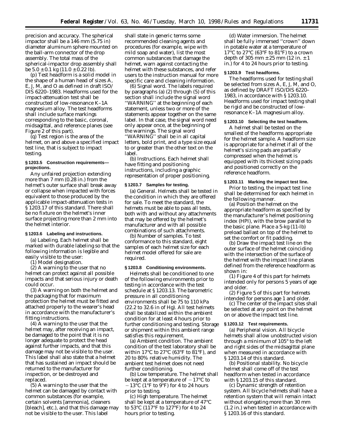precision and accuracy. The spherical impactor shall be a 146 mm (5.75 in) diameter aluminum sphere mounted on the ball-arm connector of the drop assembly. The total mass of the spherical-impactor drop assembly shall be  $5.0 \pm 0.1$  kg  $(11.0 \pm 0.22$  lb).

(p) *Test headform* is a solid model in the shape of a human head of sizes A, E, J, M, and O as defined in draft ISO/ DIS 6220–1983. Headforms used for the impact-attenuation test shall be constructed of low-resonance K–1A magnesium alloy. The test headforms shall include surface markings corresponding to the basic, coronal, midsagittal, and reference planes (see Figure 2 of this part).

(q) *Test region* is the area of the helmet, on and above a specified impact test line, that is subject to impact testing.

## **§ 1203.5 Construction requirements projections.**

Any unfaired projection extending more than 7 mm (0.28 in.) from the helmet's outer surface shall break away or collapse when impacted with forces equivalent to those produced by the applicable impact-attenuation tests in § 1203.17 of this standard. There shall be no fixture on the helmet's inner surface projecting more than 2 mm into the helmet interior.

#### **§ 1203.6 Labeling and instructions.**

(a) *Labeling.* Each helmet shall be marked with durable labeling so that the following information is legible and easily visible to the user:

(1) Model designation.

(2) A warning to the user that no helmet can protect against all possible impacts and that serious injury or death could occur.

(3) A warning on both the helmet and the packaging that for maximum protection the helmet must be fitted and attached properly to the wearer's head in accordance with the manufacturer's fitting instructions.

(4) A warning to the user that the helmet may, after receiving an impact, be damaged to the point that it is no longer adequate to protect the head against further impacts, and that this damage may not be visible to the user. This label shall also state that a helmet that has sustained an impact should be returned to the manufacturer for inspection, or be destroyed and replaced.

(5) A warning to the user that the helmet can be damaged by contact with common substances (for example, certain solvents [ammonia], cleaners [bleach], etc.), and that this damage may not be visible to the user. This label

shall state in generic terms some recommended cleaning agents and procedures (for example, wipe with mild soap and water), list the most common substances that damage the helmet, warn against contacting the helmet with these substances, and refer users to the instruction manual for more specific care and cleaning information.

(6) *Signal word.* The labels required by paragraphs (a) (2) through (5) of this section shall include the signal word ''WARNING'' at the beginning of each statement, unless two or more of the statements appear together on the same label. In that case, the signal word need only appear once, at the beginning of the warnings. The signal word ''WARNING'' shall be in all capital letters, bold print, and a type size equal to or greater than the other text on the label.

(b) *Instructions.* Each helmet shall have fitting and positioning instructions, including a graphic representation of proper positioning.

## **§ 1203.7 Samples for testing.**

(a) *General.* Helmets shall be tested in the condition in which they are offered for sale. To meet the standard, the helmets must be able to pass all tests, both with and without any attachments that may be offered by the helmet's manufacturer and with all possible combinations of such attachments.

(b) *Number of samples.* To test conformance to this standard, eight samples of each helmet size for each helmet model offered for sale are required.

#### **§ 1203.8 Conditioning environments.**

Helmets shall be conditioned to one of the following environments prior to testing in accordance with the test schedule at § 1203.13. The barometric pressure in all conditioning environments shall be 75 to 110 kPa (22.2 to 32.6 in of Hg). All test helmets shall be stabilized within the ambient condition for at least 4 hours prior to further conditioning and testing. Storage or shipment within this ambient range satisfies this requirement.

(a) *Ambient condition.* The ambient condition of the test laboratory shall be within 17 $\rm{^{\circ}C}$  to 27 $\rm{^{\circ}C}$  (63 $\rm{^{\circ}F}$  to 81 $\rm{^{\circ}F}$ ), and 20 to 80% relative humidity. The ambient test helmet does not need further conditioning.

(b) *Low temperature.* The helmet shall be kept at a temperature of  $-17$ °C to  $-13$ °C (1°F to 9°F) for 4 to 24 hours prior to testing.

(c) *High temperature.* The helmet shall be kept at a temperature of 47°C to 53°C (117°F to 127°F) for 4 to 24 hours prior to testing.

(d) *Water immersion.* The helmet shall be fully immersed ''crown'' down in potable water at a temperature of 17°C to 27°C (63°F to 81°F) to a crown depth of 305 mm  $± 25$  mm (12 in.  $± 1$ in.) for 4 to 24 hours prior to testing.

#### **§ 1203.9 Test headforms.**

The headforms used for testing shall be selected from sizes A, E, J, M, and O, as defined by DRAFT ISO/DIS 6220– 1983, in accordance with § 1203.10. Headforms used for impact testing shall be rigid and be constructed of lowresonance K–1A magnesium alloy.

## **§ 1203.10 Selecting the test headform.**

A helmet shall be tested on the smallest of the headforms appropriate for the helmet sample. A headform size is appropriate for a helmet if all of the helmet's sizing pads are partially compressed when the helmet is equipped with its thickest sizing pads and positioned correctly on the reference headform.

#### **§ 1203.11 Marking the impact test line.**

Prior to testing, the impact test line shall be determined for each helmet in the following manner.

(a) Position the helmet on the appropriate headform as specified by the manufacturer's helmet positioning index (HPI), with the brow parallel to the basic plane. Place a 5-kg (11-lb) preload ballast on top of the helmet to set the comfort or fit padding.

(b) Draw the impact test line on the outer surface of the helmet coinciding with the intersection of the surface of the helmet with the impact line planes defined from the reference headform as shown in:

(1) Figure 4 of this part for helmets intended only for persons 5 years of age and older.

(2) Figure 5 of this part for helmets intended for persons age 1 and older.

(c) The center of the impact sites shall be selected at any point on the helmet on or above the impact test line.

#### **§ 1203.12 Test requirements.**

(a) *Peripheral vision.* All bicycle helmets shall allow unobstructed vision through a minimum of 105° to the left and right sides of the midsagittal plane when measured in accordance with § 1203.14 of this standard.

(b) *Positional stability.* No bicycle helmet shall come off of the test headform when tested in accordance with § 1203.15 of this standard.

(c) *Dynamic strength of retention system.* All bicycle helmets shall have a retention system that will remain intact without elongating more than 30 mm (1.2 in.) when tested in accordance with §1203.16 of this standard.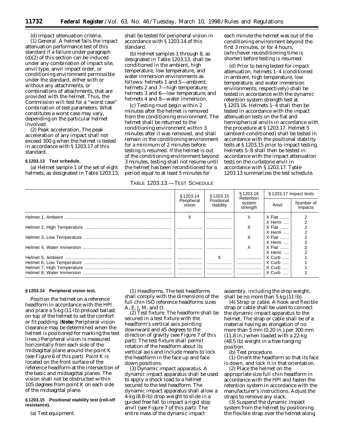(d) *Impact attenuation criteria.* (1) *General.* A helmet fails the impact attenuation performance test of this standard if a failure under paragraph (d)(2) of this section can be induced under any combination of impact site, anvil type, anvil impact order, or conditioning environment permissible under the standard, either with or without any attachments, or combinations of attachments, that are provided with the helmet. Thus, the Commission will test for a ''worst case'' combination of test parameters. What constitutes a worst case may vary, depending on the particular helmet involved.

(2) *Peak acceleration.* The peak acceleration of any impact shall not exceed 300 g when the helmet is tested in accordance with § 1203.17 of this standard.

# **§ 1203.13 Test schedule.**

(a) Helmet sample 1 of the set of eight helmets, as designated in Table 1203.13,

shall be tested for peripheral vision in accordance with § 1203.14 of this standard.

(b) Helmet samples 1 through 8, as designated in Table 1203.13, shall be conditioned in the ambient, high temperature, low temperature, and water immersion environments as follows: helmets 1 and 5—ambient; helmets 2 and 7—high temperature; helmets 3 and 6—low temperature; and helmets 4 and 8—water immersion.

(c) Testing must begin within 2 minutes after the helmet is removed from the conditioning environment. The helmet shall be returned to the conditioning environment within 3 minutes after it was removed, and shall remain in the conditioning environment for a minimum of 2 minutes before testing is resumed. If the helmet is out of the conditioning environment beyond 3 minutes, testing shall not resume until the helmet has been reconditioned for a period equal to at least 5 minutes for

TABLE 1203.13.—TEST SCHEDULE

each minute the helmet was out of the conditioning environment beyond the first 3 minutes, or for 4 hours, (whichever reconditioning time is shorter) before testing is resumed.

(d) Prior to being tested for impact attenuation, helmets 1–4 (conditioned in ambient, high temperature, low temperature, and water immersion environments, respectively) shall be tested in accordance with the dynamic retention system strength test at § 1203.16. Helmets 1–4 shall then be tested in accordance with the impact attenuation tests on the flat and hemispherical anvils in accordance with the procedure at § 1203.17. Helmet 5 (ambient-conditioned) shall be tested in accordance with the positional stability tests at § 1203.15 prior to impact testing. Helmets 5–8 shall then be tested in accordance with the impact attenuation tests on the curbstone anvil in accordance with § 1203.17. Table 1203.13 summarizes the test schedule.

| § 1203.14<br>Peripheral | § 1203.15               | § 1203.16<br>Retention<br>system<br>strength | §1203.17 Impact tests                 |                      |
|-------------------------|-------------------------|----------------------------------------------|---------------------------------------|----------------------|
| vision                  | Positional<br>stability |                                              | Anvil                                 | Number of<br>Impacts |
| X                       |                         | x                                            | X Flat                                |                      |
|                         |                         | x                                            | X Hemi<br>$X$ Flat $\ldots$<br>X Hemi |                      |
|                         |                         | x                                            | $X$ Flat $\ldots$                     |                      |
|                         |                         | X                                            | X Hemi<br>X Flat                      |                      |
|                         | X                       |                                              | X Hemi<br>$X$ Curb                    |                      |
|                         |                         | .                                            | X Curb                                |                      |
|                         |                         |                                              | X Curb<br>$X$ Curb                    |                      |

#### **§ 1203.14 Peripheral vision test.**

Position the helmet on a reference headform in accordance with the HPI and place a 5-kg (11-lb) preload ballast on top of the helmet to set the comfort or fit padding. (**Note:** Peripheral vision clearance may be determined when the helmet is positioned for marking the test lines.) Peripheral vision is measured horizontally from each side of the midsagittal plane around the point K (see Figure 6 of this part). Point K is located on the front surface of the reference headform at the intersection of the basic and midsagittal planes. The vision shall not be obstructed within 105 degrees from point K on each side of the midsagittal plane.

## **§ 1203.15 Positional stability test (roll-off resistance).**

(a) *Test equipment*.

(1) *Headforms*. The test headforms shall comply with the dimensions of the full chin ISO reference headforms sizes A, E, J, M, and O.

(2) *Test fixture*. The headform shall be secured in a test fixture with the headform's vertical axis pointing downward and 45 degrees to the direction of gravity (see Figure 7 of this part). The test fixture shall permit rotation of the headform about its vertical axis and include means to lock the headform in the face up and face down positions.

(3) *Dynamic impact apparatus*. A dynamic impact apparatus shall be used to apply a shock load to a helmet secured to the test headform. The dynamic impact apparatus shall allow a 4-kg (8.8-lb) drop weight to slide in a guided free fall to impact a rigid stop anvil (see Figure 7 of this part). The entire mass of the dynamic impact

assembly, including the drop weight, shall be no more than 5 kg (11 lb).

(4) *Strap or cable*. A hook and flexible strap or cable shall be used to connect the dynamic impact apparatus to the helmet. The strap or cable shall be of a material having an elongation of no more than 5 mm (0.20 in.) per 300 mm (11.8 in.) when loaded with a 22-kg (48.5 lb) weight in a free hanging position.

(b) *Test procedure*.

(1) Orient the headform so that its face is down, and lock it in that orientation.

(2) Place the helmet on the appropriate size full chin headform in accordance with the HPI and fasten the retention system in accordance with the manufacturer's instructions. Adjust the straps to remove any slack.

(3) Suspend the dynamic impact system from the helmet by positioning the flexible strap over the helmet along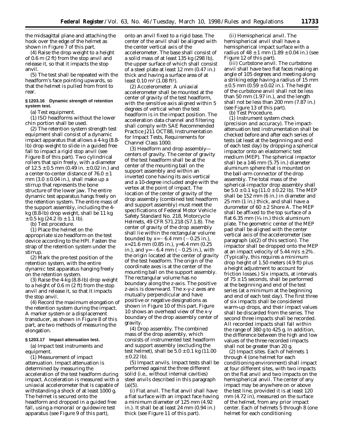the midsagittal plane and attaching the hook over the edge of the helmet as shown in Figure 7 of this part.

(4) Raise the drop weight to a height of 0.6 m (2 ft) from the stop anvil and release it, so that it impacts the stop anvil.

(5) The test shall be repeated with the headform's face pointing upwards, so that the helmet is pulled from front to rear.

## **§ 1203.16 Dynamic strength of retention system test.**

(a) *Test equipment*.

(1) ISO headforms without the lower chin portion shall be used.

(2) The retention system strength test equipment shall consist of a dynamic impact apparatus that allows a 4-kg (8.8 lb) drop weight to slide in a guided free fall to impact a rigid stop anvil (see Figure 8 of this part). Two cylindrical rollers that spin freely, with a diameter of  $12.5 \pm 0.5$  mm (0.49 in.  $\pm$  0.02 in.) and a center-to-center distance of  $76.0 \pm 1$ mm  $(3.0 \pm 0.04 \text{ in.})$ , shall make up a stirrup that represents the bone structure of the lower jaw. The entire dynamic test apparatus hangs freely on the retention system. The entire mass of the support assembly, including the 4 kg (8.8-lb) drop weight, shall be 11 kg  $\pm$  0.5 kg (24.2 lb  $\pm$  1.1 lb).

(b) *Test procedure*.

(1) Place the helmet on the appropriate size headform on the test device according to the HPI. Fasten the strap of the retention system under the stirrup.

(2) Mark the pre-test position of the retention system, with the entire dynamic test apparatus hanging freely on the retention system.

(3) Raise the 4-kg (8.8-lb) drop weight to a height of 0.6 m (2 ft) from the stop anvil and release it, so that it impacts the stop anvil.

(4) Record the maximum elongation of the retention system during the impact. A marker system or a displacement transducer, as shown in Figure 8 of this part, are two methods of measuring the elongation.

# **§ 1203.17 Impact attenuation test.**

(a) *Impact test instruments and equipment.*

(1) *Measurement of impact attenuation.* Impact attenuation is determined by measuring the acceleration of the test headform during impact. Acceleration is measured with a uniaxial accelerometer that is capable of withstanding a shock of at least 1000 g. The helmet is secured onto the headform and dropped in a guided free fall, using a monorail or guidewire test apparatus (see Figure 9 of this part),

onto an anvil fixed to a rigid base. The center of the anvil shall be aligned with the center vertical axis of the accelerometer. The base shall consist of a solid mass of at least 135 kg (298 lb), the upper surface of which shall consist of a steel plate at least 12 mm (0.47 in.) thick and having a surface area of at least  $0.10 \text{ m}^2$  (1.08 ft<sup>2</sup>).

(2) *Accelerometer.* A uniaxial accelerometer shall be mounted at the center of gravity of the test headform, with the sensitive axis aligned within 5 degrees of vertical when the test headform is in the impact position. The acceleration data channel and filtering shall comply with SAE Recommended Practice J211 OCT88, Instrumentation for Impact Tests, Requirements for Channel Class 1000.

(3) *Headform and drop assembly centers of gravity.* The center of gravity of the test headform shall be at the center of the mounting ball on the support assembly and within an inverted cone having its axis vertical and a 10-degree included angle with the vertex at the point of impact. The location of the center of gravity of the drop assembly (combined test headform and support assembly) must meet the specifications of Federal Motor Vehicle Safety Standard No. 218, Motorcycle Helmets, 49 CFR 571.218 (S7.1.8). The center of gravity of the drop assembly shall lie within the rectangular volume bounded by x=  $-6.4$  mm ( $-0.25$  in.), x=21.6 mm (0.85 in.), y=6.4 mm (0.25 in.), and  $y=-6.4$  mm  $(-0.25$  in.), with the origin located at the center of gravity of the test headform. The origin of the coordinate axes is at the center of the mounting ball on the support assembly. The rectangular volume has no boundary along the z-axis. The positive z-axis is downward. The x-y-z axes are mutually perpendicular and have positive or negative designations as shown in Figure 10 of this part. Figure 10 shows an overhead view of the x-y boundary of the drop assembly center of gravity.

(4) *Drop assembly.* The combined mass of the drop assembly, which consists of instrumented test headform and support assembly (excluding the test helmet), shall be  $5.0 \pm 0.1$  kg (11.00  $\pm$  0.22 lb).

(5) *Impact anvils.* Impact tests shall be performed against the three different solid (*i.e.,* without internal cavities) steel anvils described in this paragraph  $(a)(5)$ 

(i) *Flat anvil.* The flat anvil shall have a flat surface with an impact face having a minimum diameter of 125 mm (4.92 in.). It shall be at least 24 mm (0.94 in.) thick (see Figure 11 of this part).

(ii) *Hemispherical anvil.* The hemispherical anvil shall have a hemispherical impact surface with a radius of  $48 \pm 1$  mm  $(1.89 \pm 0.04$  in.) (see Figure 12 of this part).

(iii) *Curbstone anvil.* The curbstone anvil shall have two flat faces making an angle of 105 degrees and meeting along a striking edge having a radius of 15 mm  $± 0.5$  mm (0.59  $± 0.02$  in.). The height of the curbstone anvil shall not be less than 50 mm (1.97 in.), and the length shall not be less than 200 mm (7.87 in.) (see Figure 13 of this part).

(b) *Test Procedure.*

(1) *Instrument system check (precision and accuracy).* The impactattenuation test instrumentation shall be checked before and after each series of tests (at least at the beginning and end of each test day) by dropping a spherical impactor onto an elastomeric test medium (MEP). The spherical impactor shall be a 146 mm (5.75 in.) diameter aluminum sphere that is mounted on the ball-arm connector of the drop assembly. The total mass of the spherical-impactor drop assembly shall be  $5.0 \pm 0.1$  kg  $(11.0 \pm 0.22$  lb). The MEP shall be 152 mm (6 in.) in diameter and 25 mm (1 in.) thick, and shall have a durometer of  $60 \pm 2$  Shore A. The MEP shall be affixed to the top surface of a flat 6.35 mm  $(1/4$  in.) thick aluminum plate. The geometric center of the MEP pad shall be aligned with the center vertical axis of the accelerometer (see paragraph (a)(2) of this section). The impactor shall be dropped onto the MEP at an impact velocity of  $5.44 \text{ m/s} \pm 2\%$ . (Typically, this requires a minimum drop height of 1.50 meters (4.9 ft) plus a height adjustment to account for friction losses.) Six impacts, at intervals of  $75 \pm 15$  seconds, shall be performed at the beginning and end of the test series (at a minimum at the beginning and end of each test day). The first three of six impacts shall be considered warm-up drops, and their impact values shall be discarded from the series. The second three impacts shall be recorded. All recorded impacts shall fall within the range of 380 g to 425 g. In addition, the difference between the high and low values of the three recorded impacts shall not be greater than 20 g.

(2) *Impact sites.* Each of helmets 1 through 4 (one helmet for each conditioning environment) shall impact at four different sites, with two impacts on the flat anvil and two impacts on the hemispherical anvil. The center of any impact may be anywhere on or above the test line, provided it is at least 120 mm (4.72 in), measured on the surface of the helmet, from any prior impact center. Each of helmets 5 through 8 (one helmet for each conditioning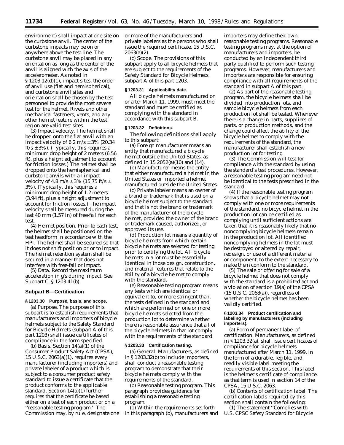environment) shall impact at one site on the curbstone anvil. The center of the curbstone impacts may be on or anywhere above the test line. The curbstone anvil may be placed in any orientation as long as the center of the anvil is aligned with the axis of the accelerometer. As noted in § 1203.12(d)(1), impact sites, the order of anvil use (flat and hemispherical), and curbstone anvil sites and orientation shall be chosen by the test personnel to provide the most severe test for the helmet. Rivets and other mechanical fasteners, vents, and any other helmet feature within the test region are valid test sites.

(3) *Impact velocity.* The helmet shall be dropped onto the flat anvil with an impact velocity of 6.2 m/s  $\pm$  3% (20.34 ft/s  $\pm$  3%). (Typically, this requires a minimum drop height of 2 meters (6.56 ft), plus a height adjustment to account for friction losses.) The helmet shall be dropped onto the hemispherical and curbstone anvils with an impact velocity of 4.8 m/s  $\pm$  3% (15.75 ft/s  $\pm$ 3%). (Typically, this requires a minimum drop height of 1.2 meters (3.94 ft), plus a height adjustment to account for friction losses.) The impact velocity shall be measured during the last 40 mm (1.57 in) of free-fall for each test.

(4) *Helmet position.* Prior to each test, the helmet shall be positioned on the test headform in accordance with the HPI. The helmet shall be secured so that it does not shift position prior to impact. The helmet retention system shall be secured in a manner that does not interfere with free-fall or impact.

(5) *Data.* Record the maximum acceleration in g's during impact. See Subpart C, § 1203.41(b).

#### **Subpart B—Certification**

#### **§ 1203.30 Purpose, basis, and scope.**

(a) *Purpose.* The purpose of this subpart is to establish requirements that manufacturers and importers of bicycle helmets subject to the Safety Standard for Bicycle Helmets (subpart A of this part 1203) shall issue certificates of compliance in the form specified.

(b) *Basis.* Section 14(a)(1) of the Consumer Product Safety Act (CPSA), 15 U.S.C. 2063(a)(1), requires every manufacturer (including importers) and private labeler of a product which is subject to a consumer product safety standard to issue a certificate that the product conforms to the applicable standard. Section 14(a)(1) further requires that the certificate be based either on a test of each product or on a ''reasonable testing program.'' The Commission may, by rule, designate one or more of the manufacturers and private labelers as the persons who shall issue the required certificate. 15 U.S.C. 2063(a)(2).

(c) *Scope.* The provisions of this subpart apply to all bicycle helmets that are subject to the requirements of the Safety Standard for Bicycle Helmets, subpart A of this part 1203.

#### **§ 1203.31 Applicability date.**

All bicycle helmets manufactured on or after March 11, 1999, must meet the standard and must be certified as complying with the standard in accordance with this subpart B.

#### **§ 1203.32 Definitions.**

The following definitions shall apply to this subpart:

(a) *Foreign manufacturer* means an entity that manufactured a bicycle helmet outside the United States, as defined in 15 2052(a)(10) and (14).

(b) *Manufacturer* means the entity that either manufactured a helmet in the United States or imported a helmet manufactured outside the United States.

(c) *Private labeler* means an owner of a brand or trademark that is used on a bicycle helmet subject to the standard and that is not the brand or trademark of the manufacturer of the bicycle helmet, provided the owner of the brand or trademark caused, authorized, or approved its use.

(d) *Production lot* means a quantity of bicycle helmets from which certain bicycle helmets are selected for testing prior to certifying the lot. All bicycle helmets in a lot must be essentially identical in those design, construction, and material features that relate to the ability of a bicycle helmet to comply with the standard.

(e) *Reasonable testing program* means any tests which are identical or equivalent to, or more stringent than, the tests defined in the standard and which are performed on one or more bicycle helmets selected from the production lot to determine whether there is reasonable assurance that all of the bicycle helmets in that lot comply with the requirements of the standard.

#### **§ 1203.33 Certification testing.**

(a) *General.* Manufacturers, as defined in § 1203.32(b) to include importers, shall conduct a reasonable testing program to demonstrate that their bicycle helmets comply with the requirements of the standard.

(b) *Reasonable testing program.* This paragraph provides guidance for establishing a reasonable testing program.

(1) Within the requirements set forth in this paragraph (b), manufacturers and

importers may define their own reasonable testing programs. Reasonable testing programs may, at the option of manufacturers and importers, be conducted by an independent third party qualified to perform such testing programs. However, manufacturers and importers are responsible for ensuring compliance with all requirements of the standard in subpart A of this part.

(2) As part of the reasonable testing program, the bicycle helmets shall be divided into production lots, and sample bicycle helmets from each production lot shall be tested. Whenever there is a change in parts, suppliers of parts, or production methods, and the change could affect the ability of the bicycle helmet to comply with the requirements of the standard, the manufacturer shall establish a new production lot for testing.

(3) The Commission will test for compliance with the standard by using the standard's test procedures. However, a reasonable testing program need not be identical to the tests prescribed in the standard.

(4) If the reasonable testing program shows that a bicycle helmet may not comply with one or more requirements of the standard, no bicycle helmet in the production lot can be certified as complying until sufficient actions are taken that it is reasonably likely that no noncomplying bicycle helmets remain in the production lot. All identified noncomplying helmets in the lot must be destroyed or altered by repair, redesign, or use of a different material or component, to the extent necessary to make them conform to the standard.

(5) The sale or offering for sale of a bicycle helmet that does not comply with the standard is a prohibited act and a violation of section 19(a) of the CPSA (15 U.S.C. 2068(a)), regardless of whether the bicycle helmet has been validly certified.

## **§ 1203.34 Product certification and labeling by manufacturers (including importers).**

(a) *Form of permanent label of certification.* Manufacturers, as defined in § 1203.32(a), shall issue certificates of compliance for bicycle helmets manufactured after March 11, 1999, in the form of a durable, legible, and readily visible label meeting the requirements of this section. This label is the helmet's certificate of compliance, as that term is used in section 14 of the CPSA, 15 U.S.C. 2063.

(b) *Contents of certification label.* The certification labels required by this section shall contain the following:

(1) The statement ''Complies with U.S. CPSC Safety Standard for Bicycle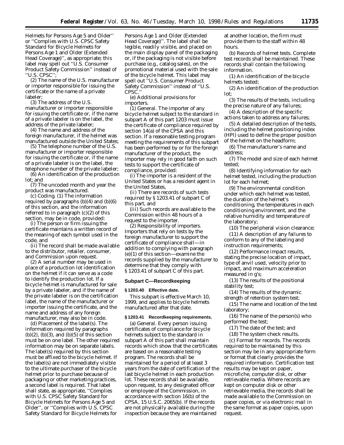Helmets for Persons Age 5 and Older'' or ''Complies with U.S. CPSC Safety Standard for Bicycle Helmets for Persons Age 1 and Older (Extended Head Coverage)'', as appropriate; this label may spell out ''U.S. Consumer Product Safety Commission'' instead of ''U.S. CPSC'';

(2) The name of the U.S. manufacturer or importer responsible for issuing the certificate or the name of a private labeler;

(3) The address of the U.S. manufacturer or importer responsible for issuing the certificate or, if the name of a private labeler is on the label, the address of the private labeler;

(4) The name and address of the foreign manufacturer, if the helmet was manufactured outside the United States;

(5) The telephone number of the U.S. manufacturer or importer responsible for issuing the certificate or, if the name of a private labeler is on the label, the telephone number of the private labeler;

(6) An identification of the production lot; and

(7) The uncoded month and year the product was manufactured.

(c) *Coding.* (1) The information required by paragraphs  $(b)(4)$  and  $(b)(6)$ of this section, and the information referred to in paragraph (c)(2) of this section, may be in code, provided:

(i) The person or firm issuing the certificate maintains a written record of the meaning of each symbol used in the code, and

(ii) The record shall be made available to the distributor, retailer, consumer, and Commission upon request.

(2) A serial number may be used in place of a production lot identification on the helmet if it can serve as a code to identify the production lot. If a bicycle helmet is manufactured for sale by a private labeler, and if the name of the private labeler is on the certification label, the name of the manufacturer or importer issuing the certificate, and the name and address of any foreign manufacturer, may also be in code.

(d) *Placement of the label(s).* The information required by paragraphs  $(b)(2)$ ,  $(b)(3)$ , and  $(b)(5)$  of this section must be on one label. The other required information may be on separate labels. The label(s) required by this section must be affixed to the bicycle helmet. If the label(s) are not immediately visible to the ultimate purchaser of the bicycle helmet prior to purchase because of packaging or other marketing practices, a second label is required. That label shall state, as appropriate, ''Complies with U.S. CPSC Safety Standard for Bicycle Helmets for Persons Age 5 and Older'', or ''Complies with U.S. CPSC Safety Standard for Bicycle Helmets for

Persons Age 1 and Older (Extended Head Coverage)''. The label shall be legible, readily visible, and placed on the main display panel of the packaging or, if the packaging is not visible before purchase (e.g., catalog sales), on the promotional material used with the sale of the bicycle helmet. This label may spell out ''U.S. Consumer Product Safety Commission'' instead of ''U.S. CPSC.

(e) *Additional provisions for importers.*

(1) *General.* The importer of any bicycle helmet subject to the standard in subpart A of this part 1203 must issue the certificate of compliance required by section 14(a) of the CPSA and this section. If a reasonable testing program meeting the requirements of this subpart has been performed by or for the foreign manufacturer of the product, the importer may rely in good faith on such tests to support the certificate of compliance, provided:

(i) The importer is a resident of the United States or has a resident agent in the United States,

(ii) There are records of such tests required by § 1203.41 of subpart C of this part, and

(iii) Such records are available to the Commission within 48 hours of a request to the importer.

(2) *Responsibility of importers.* Importers that rely on tests by the foreign manufacturer to support the certificate of compliance shall—in addition to complying with paragraph (e)(1) of this section—examine the records supplied by the manufacturer to determine that they comply with § 1203.41 of subpart C of this part.

#### **Subpart C—Recordkeeping**

#### **§ 1203.40 Effective date.**

This subpart is effective March 10, 1999, and applies to bicycle helmets manufactured after that date.

#### **§ 1203.41 Recordkeeping requirements.**

(a) *General.* Every person issuing certificates of compliance for bicycle helmets subject to the standard in subpart A of this part shall maintain records which show that the certificates are based on a reasonable testing program. The records shall be maintained for a period of at least 3 years from the date of certification of the last bicycle helmet in each production lot. These records shall be available, upon request, to any designated officer or employee of the Commission, in accordance with section 16(b) of the CPSA, 15 U.S.C. 2065(b). If the records are not physically available during the inspection because they are maintained

at another location, the firm must provide them to the staff within 48 hours.

(b) *Records of helmet tests.* Complete test records shall be maintained. These records shall contain the following information.

(1) An identification of the bicycle helmets tested;

(2) An identification of the production lot;

(3) The results of the tests, including the precise nature of any failures;

(4) A description of the specific actions taken to address any failures;

(5) A detailed description of the tests, including the helmet positioning index (HPI) used to define the proper position of the helmet on the headform;

(6) The manufacturer's name and address;

(7) The model and size of each helmet tested;

(8) Identifying information for each helmet tested, including the production lot for each helmet;

(9) The environmental condition under which each helmet was tested, the duration of the helmet's conditioning, the temperatures in each conditioning environment, and the relative humidity and temperature of the laboratory;

(10) The peripheral vision clearance;

(11) A description of any failures to conform to any of the labeling and instruction requirements;

(12) Performance impact results, stating the precise location of impact, type of anvil used, velocity prior to impact, and maximum acceleration measured in g's;

(13) The results of the positional stability test;

(14) The results of the dynamic strength of retention system test;

(15) The name and location of the test laboratory;

(16) The name of the person(s) who performed the test;

(17) The date of the test; and

(18) The system check results.

(c) *Format for records.* The records required to be maintained by this section may be in any appropriate form or format that clearly provides the required information. Certification test results may be kept on paper, microfiche, computer disk, or other retrievable media. Where records are kept on computer disk or other retrievable media, the records shall be made available to the Commission on paper copies, or via electronic mail in the same format as paper copies, upon request.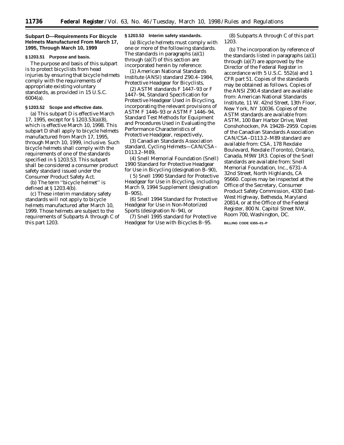# **Subpart D—Requirements For Bicycle Helmets Manufactured From March 17, 1995, Through March 10, 1999**

#### **§ 1203.51 Purpose and basis.**

The purpose and basis of this subpart is to protect bicyclists from head injuries by ensuring that bicycle helmets comply with the requirements of appropriate existing voluntary standards, as provided in 15 U.S.C. 6004(a).

## **§ 1203.52 Scope and effective date.**

(a) This subpart D is effective March 17, 1995, except for § 1203.53(a)(8), which is effective March 10, 1998. This subpart D shall apply to bicycle helmets manufactured from March 17, 1995, through March 10, 1999, inclusive. Such bicycle helmets shall comply with the requirements of one of the standards specified in § 1203.53. This subpart shall be considered a consumer product safety standard issued under the Consumer Product Safety Act.

(b) The term ''bicycle helmet'' is defined at § 1203.4(b).

(c) These interim mandatory safety standards will not apply to bicycle helmets manufactured after March 10, 1999. Those helmets are subject to the requirements of Subparts A through C of this part 1203.

#### **§ 1203.53 Interim safety standards.**

(a) Bicycle helmets must comply with one or more of the following standards. The standards in paragraphs (a)(1) through (a)(7) of this section are incorporated herein by reference:

(1) American National Standards Institute (ANSI) standard Z90.4–1984, Protective Headgear for Bicyclists,

(2) ASTM standards F 1447–93 or F 1447–94, Standard Specification for Protective Headgear Used in Bicycling, incorporating the relevant provisions of ASTM F 1446–93 or ASTM F 1446–94, Standard Test Methods for Equipment and Procedures Used in Evaluating the Performance Characteristics of Protective Headgear, respectively,

(3) Canadian Standards Association standard, Cycling Helmets—CAN/CSA– D113.2–M89,

(4) Snell Memorial Foundation (Snell) 1990 Standard for Protective Headgear for Use in Bicycling (designation B–90),

( 5) Snell 1990 Standard for Protective Headgear for Use in Bicycling, including March 9, 1994 Supplement (designation B–90S),

(6) Snell 1994 Standard for Protective Headgear for Use in Non-Motorized Sports (designation N–94), or

(7) Snell 1995 standard for Protective Headgear for Use with Bicycles B–95.

(8) Subparts A through C of this part 1203.

(b) The incorporation by reference of the standards listed in paragraphs (a)(1) through (a)(7) are approved by the Director of the Federal Register in accordance with 5 U.S.C. 552(a) and 1 CFR part 51. Copies of the standards may be obtained as follows. Copies of the ANSI Z90.4 standard are available from: American National Standards Institute, 11 W. 42nd Street, 13th Floor, New York, NY 10036. Copies of the ASTM standards are available from: ASTM, 100 Barr Harbor Drive, West Conshohocken, PA 19428–2959. Copies of the Canadian Standards Association CAN/CSA–D113.2–M89 standard are available from: CSA, 178 Rexdale Boulevard, Rexdale (Toronto), Ontario, Canada, M9W 1R3. Copies of the Snell standards are available from: Snell Memorial Foundation, Inc., 6731–A 32nd Street, North Highlands, CA 95660. Copies may be inspected at the Office of the Secretary, Consumer Product Safety Commission, 4330 East-West Highway, Bethesda, Maryland 20814, or at the Office of the Federal Register, 800 N. Capitol Street NW, Room 700, Washington, DC.

**BILLING CODE 6355–01–P**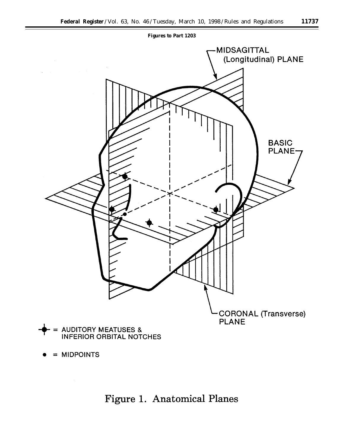



 $=$  MIDPOINTS

Figure 1. Anatomical Planes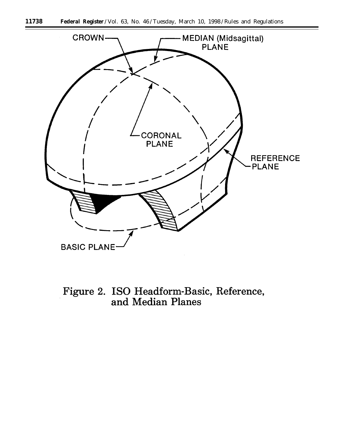

Figure 2. ISO Headform-Basic, Reference,<br>and Median Planes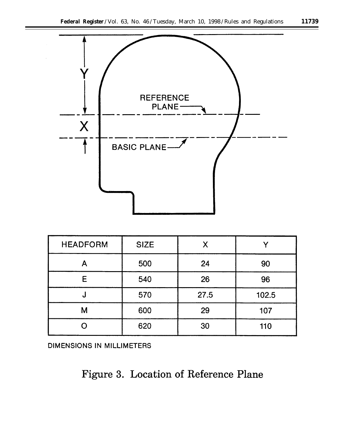

| <b>HEADFORM</b> | <b>SIZE</b> |      |       |
|-----------------|-------------|------|-------|
|                 | 500         | 24   | 90    |
| Е               | 540         | 26   | 96    |
| N               | 570         | 27.5 | 102.5 |
| M               | 600         | 29   | 107   |
|                 | 620         | 30   | 110   |

DIMENSIONS IN MILLIMETERS

# Figure 3. Location of Reference Plane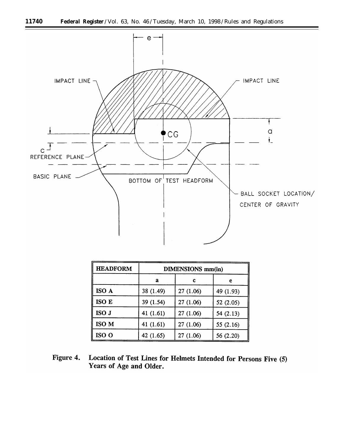

| <b>HEADFORM</b> | <b>DIMENSIONS</b> mm(in) |          |             |  |
|-----------------|--------------------------|----------|-------------|--|
|                 | а                        | c        | е           |  |
| ISO A           | 38 (1.49)                | 27(1.06) | 49 (1.93)   |  |
| ISO E           | 39 (1.54)                | 27(1.06) | 52(2.05)    |  |
| ISO J           | 41 $(1.61)$              | 27(1.06) | 54(2.13)    |  |
| ISO M           | 41 $(1.61)$              | 27(1.06) | 55 $(2.16)$ |  |
| ISO O           | 42 $(1.65)$              | 27(1.06) | 56 (2.20)   |  |

Location of Test Lines for Helmets Intended for Persons Five (5) Figure 4. Years of Age and Older.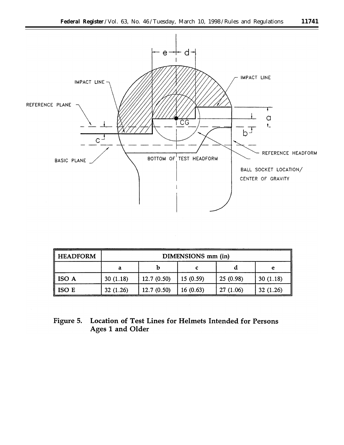

| <b>HEADFORM</b>   | DIMENSIONS mm (in) |            |          |          |          |
|-------------------|--------------------|------------|----------|----------|----------|
|                   | a                  |            |          |          |          |
| $\parallel$ ISO A | 30(1.18)           | 12.7(0.50) | 15(0.59) | 25(0.98) | 30(1.18) |
| ISO E             | 32(1.26)           | 12.7(0.50) | 16(0.63) | 27(1.06) | 32(1.26) |

# Figure 5. Location of Test Lines for Helmets Intended for Persons Ages 1 and Older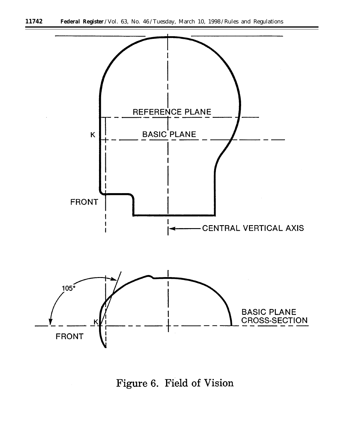

Figure 6. Field of Vision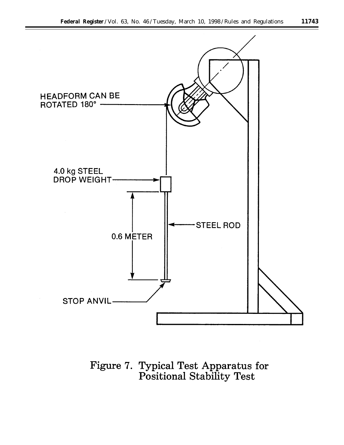

Figure 7. Typical Test Apparatus for<br>Positional Stability Test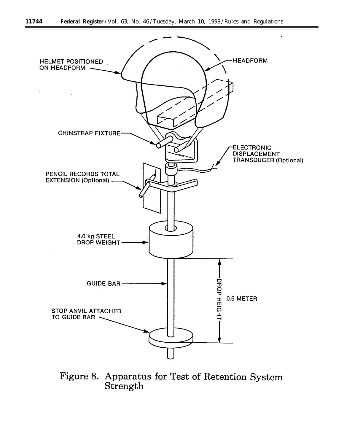

Figure 8. Apparatus for Test of Retention System Strength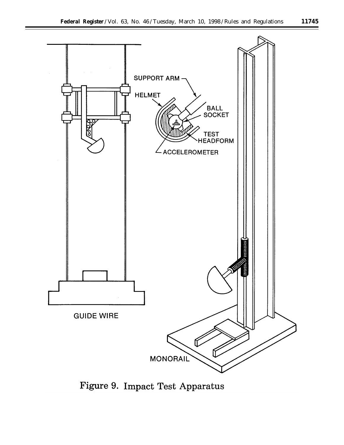

Figure 9. Impact Test Apparatus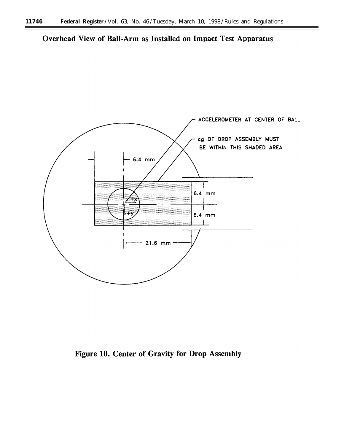Overhead View of Ball-Arm as Installed on Impact Test Apparatus



Figure 10. Center of Gravity for Drop Assembly